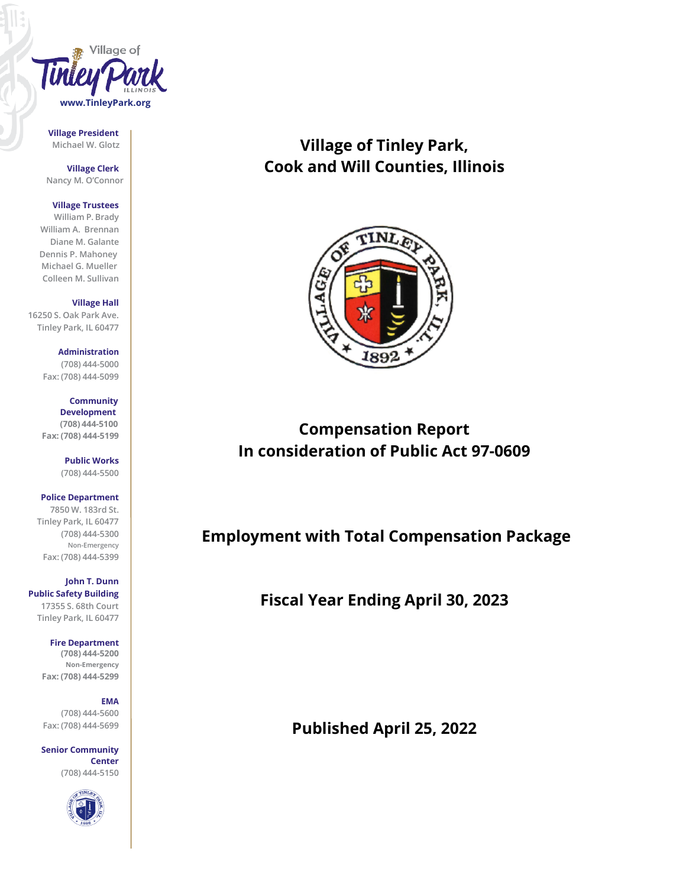

**Village President**

**Village Clerk Nancy M. O'Connor**

#### **Village Trustees**

**William P. Brady William A. Brennan Diane M. Galante Dennis P. Mahoney Michael G. Mueller Colleen M. Sullivan**

**Village Hall 16250 S. Oak Park Ave. Tinley Park, IL 60477**

> **Administration (708) 444-5000 Fax: (708) 444-5099**

> **Community Development (708) 444-5100 Fax: (708) 444-5199**

> > **Public Works (708) 444-5500**

**Police Department 7850 W. 183rd St. Tinley Park, IL 60477 (708) 444-5300 Non-Emergency Fax: (708) 444-5399**

**John T. Dunn Public Safety Building** 

**17355 S. 68th Court Tinley Park, IL 60477**

**Fire Department**

**(708) 444-5200 Non-Emergency Fax: (708) 444-5299**

## **EMA**

**(708) 444-5600 Fax: (708) 444-5699**

**Senior Community Center (708) 444-5150**



## **Michael W. Glotz Village of Tinley Park, Cook and Will Counties, Illinois**



# **Compensation Report In consideration of Public Act 97-0609**

## **Employment with Total Compensation Package**

**Fiscal Year Ending April 30, 2023**

**Published April 25, 2022**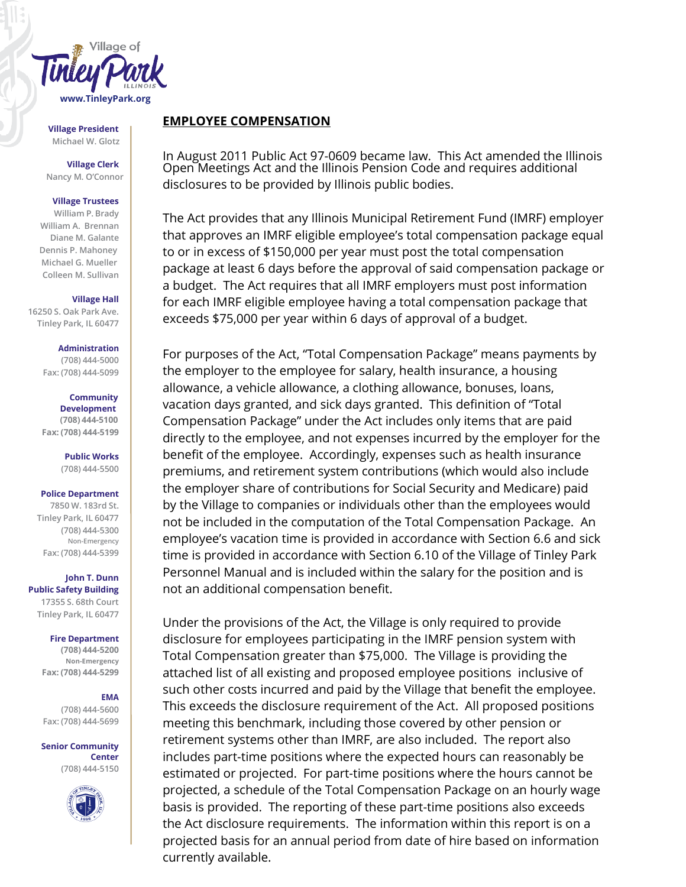

**Village President Michael W. Glotz**

**Village Clerk Nancy M. O'Connor**

### **Village Trustees**

**William P. Brady William A. Brennan Diane M. Galante Dennis P. Mahoney Michael G. Mueller Colleen M. Sullivan**

#### **Village Hall**

**16250 S. Oak Park Ave. Tinley Park, IL 60477**

## **Administration**

**(708) 444-5000 Fax: (708) 444-5099**

## **Community**

**Development (708) 444-5100 Fax: (708) 444-5199**

> **Public Works (708) 444-5500**

## **Police Department**

**7850 W. 183rd St. Tinley Park, IL 60477 (708) 444-5300 Non-Emergency Fax: (708) 444-5399**

**John T. Dunn Public Safety Building 17355 S. 68th Court Tinley Park, IL 60477**

## **Fire Department**

**(708) 444-5200 Non-Emergency Fax: (708) 444-5299**

## **EMA**

**(708) 444-5600 Fax: (708) 444-5699**

**Senior Community Center (708) 444-5150**



## **EMPLOYEE COMPENSATION**

In August 2011 Public Act 97-0609 became law. This Act amended the Illinois Open Meetings Act and the Illinois Pension Code and requires additional disclosures to be provided by Illinois public bodies.

The Act provides that any Illinois Municipal Retirement Fund (IMRF) employer that approves an IMRF eligible employee's total compensation package equal to or in excess of \$150,000 per year must post the total compensation package at least 6 days before the approval of said compensation package or a budget. The Act requires that all IMRF employers must post information for each IMRF eligible employee having a total compensation package that exceeds \$75,000 per year within 6 days of approval of a budget.

For purposes of the Act, "Total Compensation Package" means payments by the employer to the employee for salary, health insurance, a housing allowance, a vehicle allowance, a clothing allowance, bonuses, loans, vacation days granted, and sick days granted. This definition of "Total Compensation Package" under the Act includes only items that are paid directly to the employee, and not expenses incurred by the employer for the benefit of the employee. Accordingly, expenses such as health insurance premiums, and retirement system contributions (which would also include the employer share of contributions for Social Security and Medicare) paid by the Village to companies or individuals other than the employees would not be included in the computation of the Total Compensation Package. An employee's vacation time is provided in accordance with Section 6.6 and sick time is provided in accordance with Section 6.10 of the Village of Tinley Park Personnel Manual and is included within the salary for the position and is not an additional compensation benefit.

Under the provisions of the Act, the Village is only required to provide disclosure for employees participating in the IMRF pension system with Total Compensation greater than \$75,000. The Village is providing the attached list of all existing and proposed employee positions inclusive of such other costs incurred and paid by the Village that benefit the employee. This exceeds the disclosure requirement of the Act. All proposed positions meeting this benchmark, including those covered by other pension or retirement systems other than IMRF, are also included. The report also includes part-time positions where the expected hours can reasonably be estimated or projected. For part-time positions where the hours cannot be projected, a schedule of the Total Compensation Package on an hourly wage basis is provided. The reporting of these part-time positions also exceeds the Act disclosure requirements. The information within this report is on a projected basis for an annual period from date of hire based on information currently available.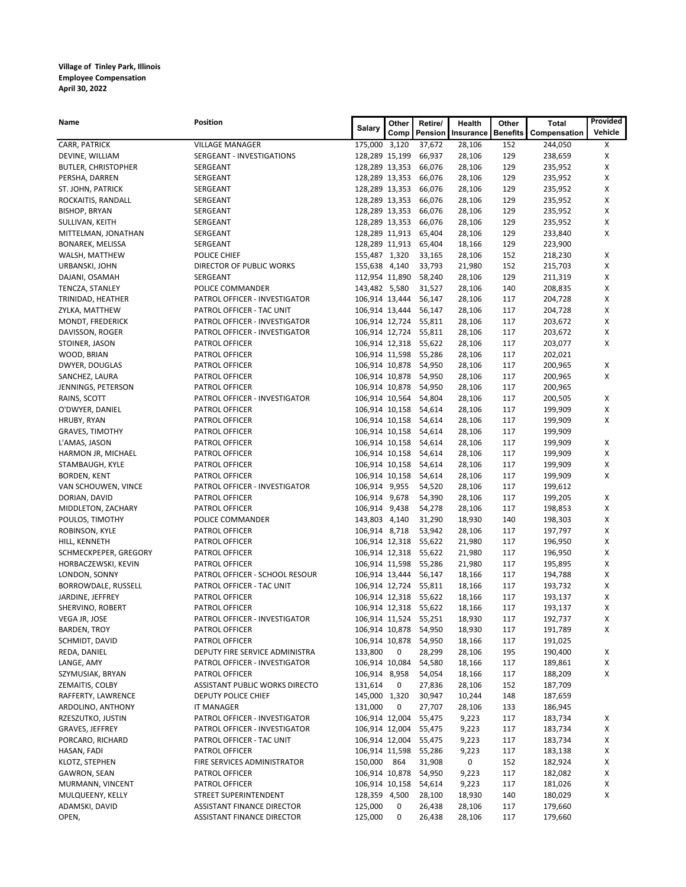| Name                              | <b>Position</b>                                 | Salary         | Other | Retire/               | Health           | Other           | Total              | Provided |
|-----------------------------------|-------------------------------------------------|----------------|-------|-----------------------|------------------|-----------------|--------------------|----------|
|                                   |                                                 |                | Comp  | Pension               | Insurance        | <b>Benefits</b> | Compensation       | Vehicle  |
| CARR, PATRICK                     | <b>VILLAGE MANAGER</b>                          | 175,000 3,120  |       | 37,672                | 28,106           | 152             | 244,050            | х        |
| DEVINE, WILLIAM                   | SERGEANT - INVESTIGATIONS                       | 128,289 15,199 |       | 66,937                | 28,106           | 129             | 238,659            | х        |
| <b>BUTLER, CHRISTOPHER</b>        | SERGEANT                                        | 128,289 13,353 |       | 66,076                | 28,106           | 129             | 235,952            | х        |
| PERSHA, DARREN                    | SERGEANT                                        | 128,289 13,353 |       | 66,076                | 28,106           | 129             | 235,952            | X        |
| ST. JOHN, PATRICK                 | SERGEANT                                        | 128,289 13,353 |       | 66,076                | 28,106           | 129             | 235,952            | х        |
| ROCKAITIS, RANDALL                | SERGEANT                                        | 128,289 13,353 |       | 66,076                | 28,106           | 129             | 235,952            | X        |
| <b>BISHOP, BRYAN</b>              | SERGEANT                                        | 128,289 13,353 |       | 66,076                | 28,106           | 129             | 235,952            | X        |
| SULLIVAN, KEITH                   | SERGEANT                                        | 128,289 13,353 |       | 66,076                | 28,106           | 129             | 235,952            | х        |
| MITTELMAN, JONATHAN               | SERGEANT                                        | 128,289 11,913 |       | 65,404                | 28,106           | 129             | 233,840            | Х        |
| <b>BONAREK, MELISSA</b>           | SERGEANT                                        | 128,289 11,913 |       | 65,404                | 18,166           | 129             | 223,900            |          |
| WALSH, MATTHEW                    | POLICE CHIEF                                    | 155,487 1,320  |       | 33,165                | 28,106           | 152             | 218,230            | х        |
| URBANSKI, JOHN                    | <b>DIRECTOR OF PUBLIC WORKS</b>                 | 155,638 4,140  |       | 33,793                | 21,980           | 152             | 215,703            | X        |
| DAJANI, OSAMAH                    | SERGEANT                                        | 112,954 11,890 |       | 58,240                | 28,106           | 129             | 211,319            | х        |
| TENCZA, STANLEY                   | POLICE COMMANDER                                | 143,482 5,580  |       | 31,527                | 28,106           | 140             | 208,835            | X        |
| TRINIDAD, HEATHER                 | PATROL OFFICER - INVESTIGATOR                   | 106,914 13,444 |       | 56,147                | 28,106           | 117             | 204,728            | х        |
| ZYLKA, MATTHEW                    | PATROL OFFICER - TAC UNIT                       | 106,914 13,444 |       | 56,147                | 28,106           | 117             | 204,728            | х        |
| MONDT, FREDERICK                  | PATROL OFFICER - INVESTIGATOR                   | 106,914 12,724 |       | 55,811<br>55,811      | 28,106           | 117<br>117      | 203,672<br>203,672 | X<br>X   |
| DAVISSON, ROGER<br>STOINER, JASON | PATROL OFFICER - INVESTIGATOR<br>PATROL OFFICER | 106,914 12,724 |       | 106,914 12,318 55,622 | 28,106<br>28,106 | 117             | 203,077            | X        |
| WOOD, BRIAN                       | PATROL OFFICER                                  | 106,914 11,598 |       | 55,286                | 28,106           | 117             | 202,021            |          |
| DWYER, DOUGLAS                    | PATROL OFFICER                                  | 106,914 10,878 |       | 54,950                | 28,106           | 117             | 200,965            | х        |
| SANCHEZ, LAURA                    | PATROL OFFICER                                  | 106,914 10,878 |       | 54,950                | 28,106           | 117             | 200,965            | x        |
| JENNINGS, PETERSON                | PATROL OFFICER                                  | 106,914 10,878 |       | 54,950                | 28,106           | 117             | 200,965            |          |
| RAINS, SCOTT                      | PATROL OFFICER - INVESTIGATOR                   | 106,914 10,564 |       | 54,804                | 28,106           | 117             | 200,505            | х        |
| O'DWYER, DANIEL                   | PATROL OFFICER                                  | 106,914 10,158 |       | 54,614                | 28,106           | 117             | 199,909            | X        |
| HRUBY, RYAN                       | PATROL OFFICER                                  | 106,914 10,158 |       | 54,614                | 28,106           | 117             | 199,909            | X        |
| <b>GRAVES, TIMOTHY</b>            | PATROL OFFICER                                  | 106,914 10,158 |       | 54,614                | 28,106           | 117             | 199,909            |          |
| L'AMAS, JASON                     | PATROL OFFICER                                  | 106,914 10,158 |       | 54,614                | 28,106           | 117             | 199,909            | X        |
| HARMON JR, MICHAEL                | PATROL OFFICER                                  | 106,914 10,158 |       | 54,614                | 28,106           | 117             | 199,909            | X        |
| STAMBAUGH, KYLE                   | PATROL OFFICER                                  | 106,914 10,158 |       | 54,614                | 28,106           | 117             | 199,909            | х        |
| BORDEN, KENT                      | PATROL OFFICER                                  | 106,914 10,158 |       | 54,614                | 28,106           | 117             | 199,909            | X        |
| VAN SCHOUWEN, VINCE               | PATROL OFFICER - INVESTIGATOR                   | 106,914 9,955  |       | 54,520                | 28,106           | 117             | 199,612            |          |
| DORIAN, DAVID                     | PATROL OFFICER                                  | 106,914 9,678  |       | 54,390                | 28,106           | 117             | 199,205            | х        |
| MIDDLETON, ZACHARY                | PATROL OFFICER                                  | 106,914 9,438  |       | 54,278                | 28,106           | 117             | 198,853            | х        |
| POULOS, TIMOTHY                   | POLICE COMMANDER                                | 143,803 4,140  |       | 31,290                | 18,930           | 140             | 198,303            | х        |
| ROBINSON, KYLE                    | PATROL OFFICER                                  | 106,914 8,718  |       | 53,942                | 28,106           | 117             | 197,797            | X        |
| HILL, KENNETH                     | PATROL OFFICER                                  |                |       | 106,914 12,318 55,622 | 21,980           | 117             | 196,950            | х        |
| SCHMECKPEPER, GREGORY             | PATROL OFFICER                                  |                |       | 106,914 12,318 55,622 | 21,980           | 117             | 196,950            | х        |
| HORBACZEWSKI, KEVIN               | PATROL OFFICER                                  | 106,914 11,598 |       | 55,286                | 21,980           | 117             | 195,895            | X        |
| LONDON, SONNY                     | PATROL OFFICER - SCHOOL RESOUR                  | 106,914 13,444 |       | 56,147                | 18,166           | 117             | 194,788            | X        |
| BORROWDALE, RUSSELL               | PATROL OFFICER - TAC UNIT                       |                |       | 106,914 12,724 55,811 | 18,166           | 117             | 193,732            | х        |
| JARDINE, JEFFREY                  | PATROL OFFICER                                  | 106,914 12,318 |       | 55,622                | 18,166           | 117             | 193,137            | х        |
| SHERVINO, ROBERT                  | PATROL OFFICER                                  |                |       | 106,914 12,318 55,622 | 18,166           | 117             | 193,137            | х        |
| VEGA JR, JOSE                     | PATROL OFFICER - INVESTIGATOR                   |                |       | 106,914 11,524 55,251 | 18,930           | 117             | 192,737            | Χ        |
| <b>BARDEN, TROY</b>               | PATROL OFFICER                                  |                |       | 106,914 10,878 54,950 | 18,930           | 117             | 191,789            | X        |
| SCHMIDT, DAVID                    | PATROL OFFICER                                  | 106,914 10,878 |       | 54,950                | 18,166           | 117             | 191,025            |          |
| REDA, DANIEL                      | DEPUTY FIRE SERVICE ADMINISTRA                  | 133,800        | 0     | 28,299                | 28,106           | 195             | 190,400            | х        |
| LANGE, AMY                        | PATROL OFFICER - INVESTIGATOR                   | 106,914 10,084 |       | 54,580                | 18,166           | 117             | 189,861            | х        |
| SZYMUSIAK, BRYAN                  | PATROL OFFICER                                  | 106,914 8,958  |       | 54,054                | 18,166           | 117             | 188,209            | X        |
| ZEMAITIS, COLBY                   | ASSISTANT PUBLIC WORKS DIRECTO                  | 131,614        | 0     | 27,836                | 28,106           | 152             | 187,709            |          |
| RAFFERTY, LAWRENCE                | DEPUTY POLICE CHIEF                             | 145,000 1,320  |       | 30,947                | 10,244           | 148             | 187,659            |          |
| ARDOLINO, ANTHONY                 | <b>IT MANAGER</b>                               | 131,000        | 0     | 27,707                | 28,106           | 133             | 186,945            |          |
| RZESZUTKO, JUSTIN                 | PATROL OFFICER - INVESTIGATOR                   | 106,914 12,004 |       | 55,475                | 9,223            | 117             | 183,734            | X        |
| GRAVES, JEFFREY                   | PATROL OFFICER - INVESTIGATOR                   | 106,914 12,004 |       | 55,475                | 9,223            | 117             | 183,734            | Х        |
| PORCARO, RICHARD                  | PATROL OFFICER - TAC UNIT                       | 106,914 12,004 |       | 55,475                | 9,223            | 117             | 183,734            | х        |
| HASAN, FADI                       | PATROL OFFICER                                  | 106,914 11,598 |       | 55,286                | 9,223            | 117             | 183,138            | х        |
| KLOTZ, STEPHEN                    | FIRE SERVICES ADMINISTRATOR                     | 150,000        | 864   | 31,908                | 0                | 152             | 182,924            | х        |
| GAWRON, SEAN                      | PATROL OFFICER                                  | 106,914 10,878 |       | 54,950                | 9,223            | 117             | 182,082            | х        |
| MURMANN, VINCENT                  | PATROL OFFICER                                  | 106,914 10,158 |       | 54,614                | 9,223            | 117             | 181,026            | Х        |
| MULQUEENY, KELLY                  | STREET SUPERINTENDENT                           | 128,359 4,500  |       | 28,100                | 18,930           | 140             | 180,029            | Х        |
| ADAMSKI, DAVID                    | ASSISTANT FINANCE DIRECTOR                      | 125,000        | 0     | 26,438                | 28,106           | 117             | 179,660            |          |
| OPEN,                             | ASSISTANT FINANCE DIRECTOR                      | 125,000        | 0     | 26,438                | 28,106           | 117             | 179,660            |          |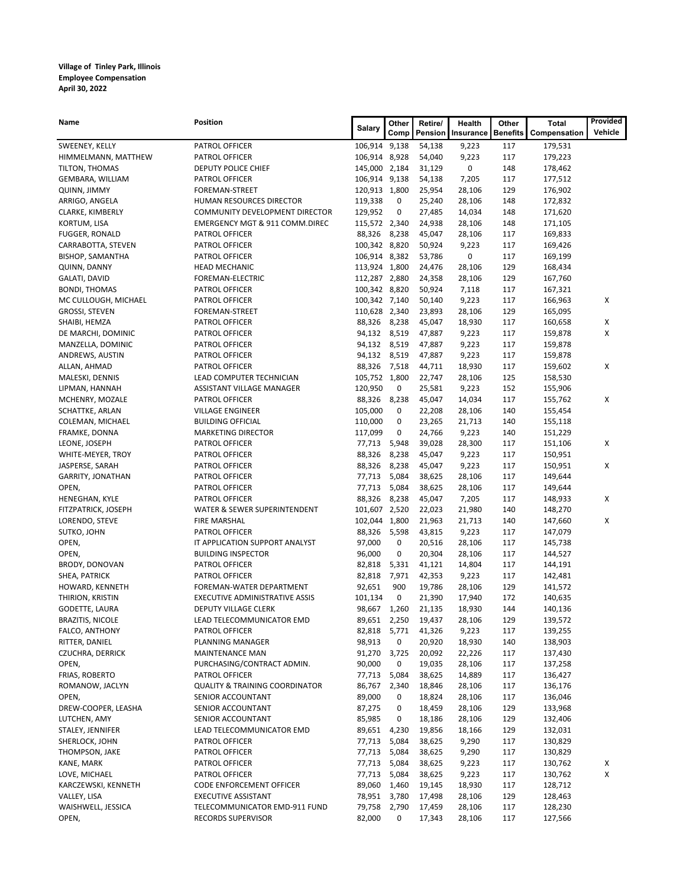| Name                               | <b>Position</b>                                        | Salary                         | Other          | Retire/          | Health           | Other           | <b>Total</b>       | Provided |
|------------------------------------|--------------------------------------------------------|--------------------------------|----------------|------------------|------------------|-----------------|--------------------|----------|
|                                    |                                                        |                                | Comp           | <b>Pension</b>   | Insurance        | <b>Benefits</b> | Compensation       | Vehicle  |
| SWEENEY, KELLY                     | PATROL OFFICER                                         | 106,914 9,138                  |                | 54,138           | 9,223            | 117             | 179,531            |          |
| HIMMELMANN, MATTHEW                | PATROL OFFICER                                         | 106,914 8,928                  |                | 54,040           | 9,223            | 117             | 179,223            |          |
| TILTON, THOMAS                     | DEPUTY POLICE CHIEF                                    | 145,000 2,184                  |                | 31,129           | 0                | 148             | 178,462            |          |
| GEMBARA, WILLIAM                   | PATROL OFFICER                                         | 106,914 9,138                  |                | 54,138           | 7,205            | 117             | 177,512            |          |
| QUINN, JIMMY                       | FOREMAN-STREET                                         | 120,913 1,800                  |                | 25,954           | 28,106           | 129             | 176,902            |          |
| ARRIGO, ANGELA                     | HUMAN RESOURCES DIRECTOR                               | 119,338                        | 0              | 25,240           | 28,106           | 148             | 172,832            |          |
| CLARKE, KIMBERLY                   | COMMUNITY DEVELOPMENT DIRECTOR                         | 129,952                        | 0              | 27,485           | 14,034           | 148             | 171,620            |          |
| KORTUM, LISA                       | <b>EMERGENCY MGT &amp; 911 COMM.DIREC</b>              | 115,572 2,340                  |                | 24,938           | 28,106           | 148             | 171,105            |          |
| <b>FUGGER, RONALD</b>              | PATROL OFFICER                                         | 88,326                         | 8,238          | 45,047           | 28,106           | 117             | 169,833            |          |
| CARRABOTTA, STEVEN                 | PATROL OFFICER                                         | 100,342 8,820                  |                | 50,924           | 9,223<br>0       | 117<br>117      | 169,426            |          |
| <b>BISHOP, SAMANTHA</b>            | PATROL OFFICER                                         | 106,914 8,382                  |                | 53,786<br>24,476 |                  | 129             | 169,199            |          |
| QUINN, DANNY<br>GALATI, DAVID      | <b>HEAD MECHANIC</b><br>FOREMAN-ELECTRIC               | 113,924 1,800<br>112,287 2,880 |                | 24,358           | 28,106           | 129             | 168,434<br>167,760 |          |
| <b>BONDI, THOMAS</b>               | PATROL OFFICER                                         | 100,342 8,820                  |                | 50,924           | 28,106<br>7,118  | 117             | 167,321            |          |
| MC CULLOUGH, MICHAEL               | PATROL OFFICER                                         | 100,342 7,140                  |                | 50,140           | 9,223            | 117             | 166,963            | х        |
| <b>GROSSI, STEVEN</b>              | FOREMAN-STREET                                         | 110,628 2,340                  |                | 23,893           | 28,106           | 129             | 165,095            |          |
| SHAIBI, HEMZA                      | PATROL OFFICER                                         | 88,326                         | 8,238          | 45,047           | 18,930           | 117             | 160,658            | X        |
| DE MARCHI, DOMINIC                 | PATROL OFFICER                                         | 94,132 8,519                   |                | 47,887           | 9,223            | 117             | 159,878            | X        |
| MANZELLA, DOMINIC                  | PATROL OFFICER                                         | 94,132 8,519                   |                | 47,887           | 9,223            | 117             | 159,878            |          |
| ANDREWS, AUSTIN                    | PATROL OFFICER                                         | 94,132                         | 8,519          | 47,887           | 9,223            | 117             | 159,878            |          |
| ALLAN, AHMAD                       | PATROL OFFICER                                         | 88,326                         | 7,518          | 44,711           | 18,930           | 117             | 159,602            | x        |
| MALESKI, DENNIS                    | LEAD COMPUTER TECHNICIAN                               | 105,752 1,800                  |                | 22,747           | 28,106           | 125             | 158,530            |          |
| LIPMAN, HANNAH                     | ASSISTANT VILLAGE MANAGER                              | 120,950                        | 0              | 25,581           | 9,223            | 152             | 155,906            |          |
| MCHENRY, MOZALE                    | PATROL OFFICER                                         | 88,326                         | 8,238          | 45,047           | 14,034           | 117             | 155,762            | x        |
| SCHATTKE, ARLAN                    | <b>VILLAGE ENGINEER</b>                                | 105,000                        | 0              | 22,208           | 28,106           | 140             | 155,454            |          |
| COLEMAN, MICHAEL                   | <b>BUILDING OFFICIAL</b>                               | 110,000                        | 0              | 23,265           | 21,713           | 140             | 155,118            |          |
| FRAMKE, DONNA                      | <b>MARKETING DIRECTOR</b>                              | 117,099                        | 0              | 24,766           | 9,223            | 140             | 151,229            |          |
| LEONE, JOSEPH                      | PATROL OFFICER                                         | 77,713                         | 5,948          | 39,028           | 28,300           | 117             | 151,106            | X        |
| WHITE-MEYER, TROY                  | PATROL OFFICER                                         | 88,326                         | 8,238          | 45,047           | 9,223            | 117             | 150,951            |          |
| JASPERSE, SARAH                    | PATROL OFFICER                                         | 88,326                         | 8,238          | 45,047           | 9,223            | 117             | 150,951            | x        |
| GARRITY, JONATHAN                  | PATROL OFFICER                                         | 77,713                         | 5,084          | 38,625           | 28,106           | 117             | 149,644            |          |
| OPEN,                              | PATROL OFFICER                                         | 77,713                         | 5,084          | 38,625           | 28,106           | 117             | 149,644            |          |
| HENEGHAN, KYLE                     | PATROL OFFICER                                         | 88,326                         | 8,238          | 45,047           | 7,205            | 117             | 148,933            | X        |
| FITZPATRICK, JOSEPH                | WATER & SEWER SUPERINTENDENT                           | 101,607                        | 2,520          | 22,023           | 21,980           | 140             | 148,270            |          |
| LORENDO, STEVE                     | FIRE MARSHAL                                           | 102,044 1,800                  |                | 21,963           | 21,713           | 140             | 147,660            | x        |
| SUTKO, JOHN                        | PATROL OFFICER                                         | 88,326                         | 5,598          | 43,815           | 9,223            | 117             | 147,079            |          |
| OPEN,                              | IT APPLICATION SUPPORT ANALYST                         | 97,000                         | 0              | 20,516           | 28,106           | 117             | 145,738            |          |
| OPEN,                              | <b>BUILDING INSPECTOR</b>                              | 96,000                         | 0              | 20,304           | 28,106           | 117             | 144,527            |          |
| <b>BRODY, DONOVAN</b>              | PATROL OFFICER                                         | 82,818                         | 5,331          | 41,121           | 14,804           | 117             | 144,191            |          |
| SHEA, PATRICK                      | PATROL OFFICER                                         | 82,818                         | 7,971          | 42,353           | 9,223            | 117             | 142,481            |          |
| HOWARD, KENNETH                    | FOREMAN-WATER DEPARTMENT                               | 92,651                         | 900<br>0       | 19,786           | 28,106           | 129<br>172      | 141,572            |          |
| THIRION, KRISTIN<br>GODETTE, LAURA | EXECUTIVE ADMINISTRATIVE ASSIS<br>DEPUTY VILLAGE CLERK | 101,134<br>98,667              | 1,260          | 21,390<br>21,135 | 17,940<br>18,930 | 144             | 140,635<br>140,136 |          |
|                                    | LEAD TELECOMMUNICATOR EMD                              |                                |                |                  |                  |                 | 139,572            |          |
| BRAZITIS, NICOLE<br>FALCO, ANTHONY | PATROL OFFICER                                         | 89,651<br>82,818               | 2,250<br>5,771 | 19,437<br>41,326 | 28,106<br>9,223  | 129<br>117      | 139,255            |          |
| RITTER, DANIEL                     | PLANNING MANAGER                                       | 98,913                         | 0              | 20,920           | 18,930           | 140             | 138,903            |          |
| <b>CZUCHRA, DERRICK</b>            | <b>MAINTENANCE MAN</b>                                 | 91,270                         | 3,725          | 20,092           | 22,226           | 117             | 137,430            |          |
| OPEN,                              | PURCHASING/CONTRACT ADMIN.                             | 90,000                         | 0              | 19,035           | 28,106           | 117             | 137,258            |          |
| FRIAS, ROBERTO                     | PATROL OFFICER                                         | 77,713                         | 5,084          | 38,625           | 14,889           | 117             | 136,427            |          |
| ROMANOW, JACLYN                    | <b>QUALITY &amp; TRAINING COORDINATOR</b>              | 86,767                         | 2,340          | 18,846           | 28,106           | 117             | 136,176            |          |
| OPEN,                              | SENIOR ACCOUNTANT                                      | 89,000                         | 0              | 18,824           | 28,106           | 117             | 136,046            |          |
| DREW-COOPER, LEASHA                | SENIOR ACCOUNTANT                                      | 87,275                         | 0              | 18,459           | 28,106           | 129             | 133,968            |          |
| LUTCHEN, AMY                       | SENIOR ACCOUNTANT                                      | 85,985                         | 0              | 18,186           | 28,106           | 129             | 132,406            |          |
| STALEY, JENNIFER                   | LEAD TELECOMMUNICATOR EMD                              | 89,651                         | 4,230          | 19,856           | 18,166           | 129             | 132,031            |          |
| SHERLOCK, JOHN                     | PATROL OFFICER                                         | 77,713                         | 5,084          | 38,625           | 9,290            | 117             | 130,829            |          |
| THOMPSON, JAKE                     | PATROL OFFICER                                         | 77,713                         | 5,084          | 38,625           | 9,290            | 117             | 130,829            |          |
| KANE, MARK                         | PATROL OFFICER                                         | 77,713                         | 5,084          | 38,625           | 9,223            | 117             | 130,762            | x        |
| LOVE, MICHAEL                      | PATROL OFFICER                                         | 77,713                         | 5,084          | 38,625           | 9,223            | 117             | 130,762            | x        |
| KARCZEWSKI, KENNETH                | CODE ENFORCEMENT OFFICER                               | 89,060                         | 1,460          | 19,145           | 18,930           | 117             | 128,712            |          |
| VALLEY, LISA                       | <b>EXECUTIVE ASSISTANT</b>                             | 78,951                         | 3,780          | 17,498           | 28,106           | 129             | 128,463            |          |
| WAISHWELL, JESSICA                 | TELECOMMUNICATOR EMD-911 FUND                          | 79,758                         | 2,790          | 17,459           | 28,106           | 117             | 128,230            |          |
| OPEN,                              | <b>RECORDS SUPERVISOR</b>                              | 82,000                         | 0              | 17,343           | 28,106           | 117             | 127,566            |          |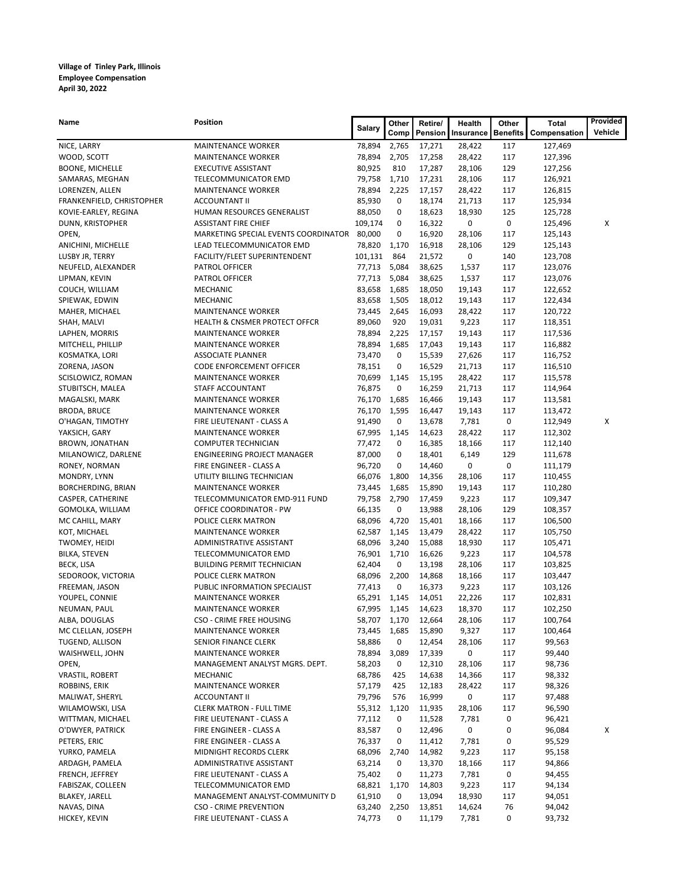| Name                                  | <b>Position</b>                                            | <b>Salary</b>          | Other        | Retire/             | Health          | Other           | Total              | Provided |
|---------------------------------------|------------------------------------------------------------|------------------------|--------------|---------------------|-----------------|-----------------|--------------------|----------|
|                                       |                                                            |                        | Comp         | Pension             | Insurance       | <b>Benefits</b> | Compensation       | Vehicle  |
| NICE, LARRY                           | <b>MAINTENANCE WORKER</b>                                  | 78,894                 | 2,765        | 17,271              | 28,422          | 117             | 127,469            |          |
| WOOD, SCOTT                           | <b>MAINTENANCE WORKER</b>                                  | 78,894                 | 2,705        | 17,258              | 28,422          | 117             | 127,396            |          |
| <b>BOONE, MICHELLE</b>                | <b>EXECUTIVE ASSISTANT</b>                                 | 80,925                 | 810          | 17,287              | 28,106          | 129             | 127,256            |          |
| SAMARAS, MEGHAN                       | TELECOMMUNICATOR EMD                                       | 79,758                 | 1,710        | 17,231              | 28,106          | 117             | 126,921            |          |
| LORENZEN, ALLEN                       | <b>MAINTENANCE WORKER</b>                                  | 78,894                 | 2,225        | 17,157              | 28,422          | 117             | 126,815            |          |
| FRANKENFIELD, CHRISTOPHER             | <b>ACCOUNTANT II</b>                                       | 85,930                 | 0            | 18,174              | 21,713          | 117             | 125,934            |          |
| KOVIE-EARLEY, REGINA                  | HUMAN RESOURCES GENERALIST                                 | 88,050                 | 0            | 18,623              | 18,930          | 125             | 125,728            |          |
| DUNN, KRISTOPHER                      | <b>ASSISTANT FIRE CHIEF</b>                                | 109,174                | 0            | 16,322              | 0               | 0               | 125,496            | х        |
| OPEN,                                 | MARKETING SPECIAL EVENTS COORDINATOR                       | 80,000<br>78,820       | 0            | 16,920              | 28,106          | 117             | 125,143            |          |
| ANICHINI, MICHELLE                    | LEAD TELECOMMUNICATOR EMD                                  | 101,131                | 1,170<br>864 | 16,918<br>21,572    | 28,106<br>0     | 129<br>140      | 125,143<br>123,708 |          |
| LUSBY JR, TERRY<br>NEUFELD, ALEXANDER | FACILITY/FLEET SUPERINTENDENT<br>PATROL OFFICER            | 77,713                 | 5,084        | 38,625              | 1,537           | 117             | 123,076            |          |
| LIPMAN, KEVIN                         | PATROL OFFICER                                             | 77,713                 | 5,084        | 38,625              | 1,537           | 117             | 123,076            |          |
| COUCH, WILLIAM                        | MECHANIC                                                   | 83,658                 | 1,685        | 18,050              | 19,143          | 117             | 122,652            |          |
| SPIEWAK, EDWIN                        | MECHANIC                                                   | 83,658                 | 1,505        | 18,012              | 19,143          | 117             | 122,434            |          |
| MAHER, MICHAEL                        | <b>MAINTENANCE WORKER</b>                                  | 73,445                 | 2,645        | 16,093              | 28,422          | 117             | 120,722            |          |
| SHAH, MALVI                           | <b>HEALTH &amp; CNSMER PROTECT OFFCR</b>                   | 89,060                 | 920          | 19,031              | 9,223           | 117             | 118,351            |          |
| LAPHEN, MORRIS                        | <b>MAINTENANCE WORKER</b>                                  | 78,894                 | 2,225        | 17,157              | 19,143          | 117             | 117,536            |          |
| MITCHELL, PHILLIP                     | <b>MAINTENANCE WORKER</b>                                  | 78,894                 | 1,685        | 17,043              | 19,143          | 117             | 116,882            |          |
| KOSMATKA, LORI                        | <b>ASSOCIATE PLANNER</b>                                   | 73,470                 | 0            | 15,539              | 27,626          | 117             | 116,752            |          |
| ZORENA, JASON                         | CODE ENFORCEMENT OFFICER                                   | 78,151                 | 0            | 16,529              | 21,713          | 117             | 116,510            |          |
| SCISLOWICZ, ROMAN                     | <b>MAINTENANCE WORKER</b>                                  | 70,699                 | 1,145        | 15,195              | 28,422          | 117             | 115,578            |          |
| STUBITSCH, MALEA                      | STAFF ACCOUNTANT                                           | 76,875                 | 0            | 16,259              | 21,713          | 117             | 114,964            |          |
| MAGALSKI, MARK                        | <b>MAINTENANCE WORKER</b>                                  | 76,170                 | 1,685        | 16,466              | 19,143          | 117             | 113,581            |          |
| <b>BRODA, BRUCE</b>                   | <b>MAINTENANCE WORKER</b>                                  | 76,170                 | 1,595        | 16,447              | 19,143          | 117             | 113,472            |          |
| O'HAGAN, TIMOTHY                      | FIRE LIEUTENANT - CLASS A                                  | 91,490                 | 0            | 13,678              | 7,781           | 0               | 112,949            | X        |
| YAKSICH, GARY                         | <b>MAINTENANCE WORKER</b>                                  | 67,995                 | 1,145        | 14,623              | 28,422          | 117             | 112,302            |          |
| BROWN, JONATHAN                       | COMPUTER TECHNICIAN                                        | 77,472                 | 0            | 16,385              | 18,166          | 117             | 112,140            |          |
| MILANOWICZ, DARLENE                   | <b>ENGINEERING PROJECT MANAGER</b>                         | 87,000                 | 0            | 18,401              | 6,149           | 129             | 111,678            |          |
| RONEY, NORMAN                         | FIRE ENGINEER - CLASS A                                    | 96,720                 | 0            | 14,460              | 0               | 0               | 111,179            |          |
| MONDRY, LYNN                          | UTILITY BILLING TECHNICIAN                                 | 66,076                 | 1,800        | 14,356              | 28,106          | 117             | 110,455            |          |
| BORCHERDING, BRIAN                    | <b>MAINTENANCE WORKER</b>                                  | 73,445                 | 1,685        | 15,890              | 19,143          | 117             | 110,280            |          |
| CASPER, CATHERINE                     | TELECOMMUNICATOR EMD-911 FUND                              | 79,758                 | 2,790        | 17,459              | 9,223           | 117             | 109,347            |          |
| GOMOLKA, WILLIAM                      | OFFICE COORDINATOR - PW                                    | 66,135                 | 0            | 13,988              | 28,106          | 129             | 108,357            |          |
| MC CAHILL, MARY                       | POLICE CLERK MATRON                                        | 68,096                 | 4,720        | 15,401              | 18,166          | 117             | 106,500            |          |
| KOT, MICHAEL                          | <b>MAINTENANCE WORKER</b>                                  | 62,587                 | 1,145        | 13,479              | 28,422          | 117             | 105,750            |          |
| TWOMEY, HEIDI                         | ADMINISTRATIVE ASSISTANT                                   | 68,096                 | 3,240        | 15,088              | 18,930          | 117             | 105,471            |          |
| <b>BILKA, STEVEN</b>                  | TELECOMMUNICATOR EMD                                       | 76,901                 | 1,710        | 16,626              | 9,223           | 117             | 104,578            |          |
| BECK, LISA                            | <b>BUILDING PERMIT TECHNICIAN</b>                          | 62,404                 | 0            | 13,198              | 28,106          | 117             | 103,825            |          |
| SEDOROOK, VICTORIA                    | POLICE CLERK MATRON                                        | 68,096                 | 2,200<br>0   | 14,868              | 18,166          | 117             | 103,447            |          |
| FREEMAN, JASON<br>YOUPEL, CONNIE      | PUBLIC INFORMATION SPECIALIST<br><b>MAINTENANCE WORKER</b> | 77,413<br>65,291 1,145 |              | 16,373<br>14,051    | 9,223<br>22,226 | 117<br>117      | 103,126<br>102,831 |          |
| NEUMAN, PAUL                          | <b>MAINTENANCE WORKER</b>                                  | 67,995 1,145           |              | 14,623              | 18,370          | 117             | 102,250            |          |
| ALBA, DOUGLAS                         | CSO - CRIME FREE HOUSING                                   |                        |              | 58,707 1,170 12,664 | 28,106          | 117             | 100,764            |          |
| MC CLELLAN, JOSEPH                    | <b>MAINTENANCE WORKER</b>                                  | 73,445                 | 1,685        | 15,890              | 9,327           | 117             | 100,464            |          |
| TUGEND, ALLISON                       | SENIOR FINANCE CLERK                                       | 58,886                 | 0            | 12,454              | 28,106          | 117             | 99,563             |          |
| WAISHWELL, JOHN                       | MAINTENANCE WORKER                                         | 78,894                 | 3,089        | 17,339              | 0               | 117             | 99,440             |          |
| OPEN,                                 | MANAGEMENT ANALYST MGRS. DEPT.                             | 58,203                 | 0            | 12,310              | 28,106          | 117             | 98,736             |          |
| <b>VRASTIL, ROBERT</b>                | <b>MECHANIC</b>                                            | 68,786                 | 425          | 14,638              | 14,366          | 117             | 98,332             |          |
| ROBBINS, ERIK                         | <b>MAINTENANCE WORKER</b>                                  | 57,179                 | 425          | 12,183              | 28,422          | 117             | 98,326             |          |
| MALIWAT, SHERYL                       | <b>ACCOUNTANT II</b>                                       | 79,796                 | 576          | 16,999              | 0               | 117             | 97,488             |          |
| WILAMOWSKI, LISA                      | <b>CLERK MATRON - FULL TIME</b>                            | 55,312                 | 1,120        | 11,935              | 28,106          | 117             | 96,590             |          |
| WITTMAN, MICHAEL                      | FIRE LIEUTENANT - CLASS A                                  | 77,112                 | 0            | 11,528              | 7,781           | 0               | 96,421             |          |
| O'DWYER, PATRICK                      | FIRE ENGINEER - CLASS A                                    | 83,587                 | 0            | 12,496              | 0               | 0               | 96,084             | x        |
| PETERS, ERIC                          | FIRE ENGINEER - CLASS A                                    | 76,337                 | 0            | 11,412              | 7,781           | 0               | 95,529             |          |
| YURKO, PAMELA                         | MIDNIGHT RECORDS CLERK                                     | 68,096                 | 2,740        | 14,982              | 9,223           | 117             | 95,158             |          |
| ARDAGH, PAMELA                        | ADMINISTRATIVE ASSISTANT                                   | 63,214                 | 0            | 13,370              | 18,166          | 117             | 94,866             |          |
| FRENCH, JEFFREY                       | FIRE LIEUTENANT - CLASS A                                  | 75,402                 | 0            | 11,273              | 7,781           | 0               | 94,455             |          |
| FABISZAK, COLLEEN                     | TELECOMMUNICATOR EMD                                       | 68,821                 | 1,170        | 14,803              | 9,223           | 117             | 94,134             |          |
| <b>BLAKEY, JARELL</b>                 | MANAGEMENT ANALYST-COMMUNITY D                             | 61,910                 | 0            | 13,094              | 18,930          | 117             | 94,051             |          |
| NAVAS, DINA                           | <b>CSO - CRIME PREVENTION</b>                              | 63,240                 | 2,250        | 13,851              | 14,624          | 76              | 94,042             |          |
| HICKEY, KEVIN                         | FIRE LIEUTENANT - CLASS A                                  | 74,773                 | 0            | 11,179              | 7,781           | 0               | 93,732             |          |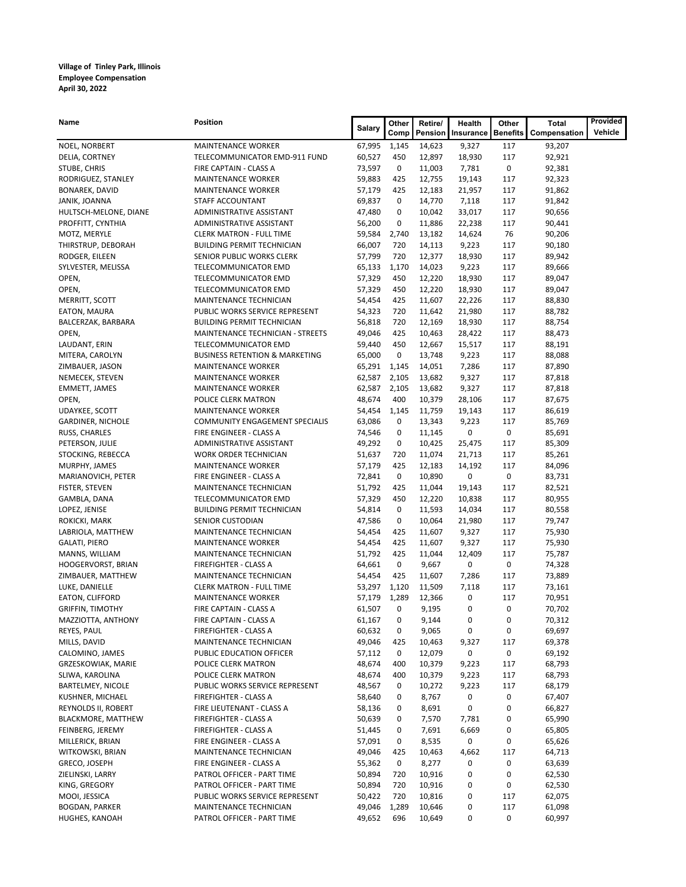| Name                                      | <b>Position</b>                                             | <b>Salary</b>    | Other               | Retire/          | Health     | Other           | Total            | Provided |
|-------------------------------------------|-------------------------------------------------------------|------------------|---------------------|------------------|------------|-----------------|------------------|----------|
|                                           |                                                             |                  | Comp                | Pension          | Insurance  | <b>Benefits</b> | Compensation     | Vehicle  |
| NOEL, NORBERT                             | <b>MAINTENANCE WORKER</b>                                   | 67,995           | 1,145               | 14,623           | 9,327      | 117             | 93,207           |          |
| DELIA, CORTNEY                            | TELECOMMUNICATOR EMD-911 FUND                               | 60,527           | 450                 | 12,897           | 18,930     | 117             | 92,921           |          |
| STUBE, CHRIS                              | FIRE CAPTAIN - CLASS A                                      | 73,597           | 0                   | 11,003           | 7,781      | 0               | 92,381           |          |
| RODRIGUEZ, STANLEY                        | <b>MAINTENANCE WORKER</b>                                   | 59,883           | 425                 | 12,755           | 19,143     | 117             | 92,323           |          |
| BONAREK, DAVID                            | <b>MAINTENANCE WORKER</b>                                   | 57,179           | 425                 | 12,183           | 21,957     | 117             | 91,862           |          |
| JANIK, JOANNA                             | STAFF ACCOUNTANT                                            | 69,837           | 0                   | 14,770           | 7,118      | 117             | 91,842           |          |
| HULTSCH-MELONE, DIANE                     | ADMINISTRATIVE ASSISTANT                                    | 47,480           | 0                   | 10,042           | 33,017     | 117             | 90,656           |          |
| PROFFITT, CYNTHIA                         | ADMINISTRATIVE ASSISTANT                                    | 56,200           | 0                   | 11,886           | 22,238     | 117             | 90,441           |          |
| MOTZ, MERYLE                              | <b>CLERK MATRON - FULL TIME</b>                             | 59,584           | 2,740               | 13,182           | 14,624     | 76              | 90,206           |          |
| THIRSTRUP, DEBORAH                        | <b>BUILDING PERMIT TECHNICIAN</b>                           | 66,007           | 720                 | 14,113           | 9,223      | 117             | 90,180           |          |
| RODGER, EILEEN                            | SENIOR PUBLIC WORKS CLERK                                   | 57,799           | 720                 | 12,377           | 18,930     | 117             | 89,942           |          |
| SYLVESTER, MELISSA                        | TELECOMMUNICATOR EMD                                        | 65,133           | 1,170               | 14,023           | 9,223      | 117             | 89,666           |          |
| OPEN,                                     | TELECOMMUNICATOR EMD                                        | 57,329           | 450                 | 12,220           | 18,930     | 117             | 89,047           |          |
| OPEN,                                     | TELECOMMUNICATOR EMD                                        | 57,329           | 450                 | 12,220           | 18,930     | 117             | 89,047           |          |
| MERRITT, SCOTT                            | MAINTENANCE TECHNICIAN                                      | 54,454           | 425                 | 11,607           | 22,226     | 117             | 88,830           |          |
| EATON, MAURA                              | PUBLIC WORKS SERVICE REPRESENT                              | 54,323           | 720                 | 11,642           | 21,980     | 117             | 88,782           |          |
| BALCERZAK, BARBARA                        | <b>BUILDING PERMIT TECHNICIAN</b>                           | 56,818           | 720                 | 12,169           | 18,930     | 117             | 88,754           |          |
| OPEN,                                     | MAINTENANCE TECHNICIAN - STREETS                            | 49,046           | 425                 | 10,463           | 28,422     | 117             | 88,473           |          |
| LAUDANT, ERIN                             | TELECOMMUNICATOR EMD                                        | 59,440           | 450                 | 12,667           | 15,517     | 117             | 88,191           |          |
| MITERA, CAROLYN                           | <b>BUSINESS RETENTION &amp; MARKETING</b>                   | 65,000           | 0                   | 13,748           | 9,223      | 117             | 88,088           |          |
| ZIMBAUER, JASON                           | <b>MAINTENANCE WORKER</b>                                   | 65,291           | 1,145               | 14,051           | 7,286      | 117             | 87,890           |          |
| NEMECEK, STEVEN                           | <b>MAINTENANCE WORKER</b>                                   | 62,587           | 2,105               | 13,682           | 9,327      | 117             | 87,818           |          |
| <b>EMMETT, JAMES</b>                      | <b>MAINTENANCE WORKER</b>                                   | 62,587           | 2,105               | 13,682           | 9,327      | 117             | 87,818           |          |
| OPEN,                                     | POLICE CLERK MATRON                                         | 48,674           | 400                 | 10,379           | 28,106     | 117             | 87,675           |          |
| <b>UDAYKEE, SCOTT</b>                     | <b>MAINTENANCE WORKER</b><br>COMMUNITY ENGAGEMENT SPECIALIS | 54,454<br>63,086 | 1,145<br>0          | 11,759<br>13,343 | 19,143     | 117<br>117      | 86,619<br>85,769 |          |
| <b>GARDINER, NICHOLE</b><br>RUSS, CHARLES | FIRE ENGINEER - CLASS A                                     | 74,546           | 0                   | 11,145           | 9,223<br>0 | 0               | 85,691           |          |
| PETERSON, JULIE                           | ADMINISTRATIVE ASSISTANT                                    | 49,292           | 0                   | 10,425           | 25,475     | 117             | 85,309           |          |
| STOCKING, REBECCA                         | WORK ORDER TECHNICIAN                                       | 51,637           | 720                 | 11,074           | 21,713     | 117             | 85,261           |          |
| MURPHY, JAMES                             | <b>MAINTENANCE WORKER</b>                                   | 57,179           | 425                 | 12,183           | 14,192     | 117             | 84,096           |          |
| MARIANOVICH, PETER                        | FIRE ENGINEER - CLASS A                                     | 72,841           | 0                   | 10,890           | 0          | 0               | 83,731           |          |
| FISTER, STEVEN                            | MAINTENANCE TECHNICIAN                                      | 51,792           | 425                 | 11,044           | 19,143     | 117             | 82,521           |          |
| GAMBLA, DANA                              | TELECOMMUNICATOR EMD                                        | 57,329           | 450                 | 12,220           | 10,838     | 117             | 80,955           |          |
| LOPEZ, JENISE                             | <b>BUILDING PERMIT TECHNICIAN</b>                           | 54,814           | 0                   | 11,593           | 14,034     | 117             | 80,558           |          |
| ROKICKI, MARK                             | SENIOR CUSTODIAN                                            | 47,586           | 0                   | 10,064           | 21,980     | 117             | 79,747           |          |
| LABRIOLA, MATTHEW                         | MAINTENANCE TECHNICIAN                                      | 54,454           | 425                 | 11,607           | 9,327      | 117             | 75,930           |          |
| <b>GALATI, PIERO</b>                      | <b>MAINTENANCE WORKER</b>                                   | 54,454           | 425                 | 11,607           | 9,327      | 117             | 75,930           |          |
| MANNS, WILLIAM                            | MAINTENANCE TECHNICIAN                                      | 51,792           | 425                 | 11,044           | 12,409     | 117             | 75,787           |          |
| HOOGERVORST, BRIAN                        | FIREFIGHTER - CLASS A                                       | 64,661           | 0                   | 9,667            | 0          | 0               | 74,328           |          |
| ZIMBAUER, MATTHEW                         | MAINTENANCE TECHNICIAN                                      | 54,454           | 425                 | 11,607           | 7,286      | 117             | 73,889           |          |
| LUKE, DANIELLE                            | <b>CLERK MATRON - FULL TIME</b>                             | 53,297           | 1,120               | 11,509           | 7,118      | 117             | 73,161           |          |
| EATON, CLIFFORD                           | <b>MAINTENANCE WORKER</b>                                   | 57,179           | 1,289               | 12,366           | 0          | 117             | 70,951           |          |
| <b>GRIFFIN, TIMOTHY</b>                   | FIRE CAPTAIN - CLASS A                                      | 61,507           | 0                   | 9,195            | 0          | 0               | 70,702           |          |
| MAZZIOTTA, ANTHONY                        | FIRE CAPTAIN - CLASS A                                      | 61,167           | $\mathsf{O}\xspace$ | 9,144            | 0          | 0               | 70,312           |          |
| REYES, PAUL                               | FIREFIGHTER - CLASS A                                       | 60,632           | 0                   | 9,065            | 0          | 0               | 69,697           |          |
| MILLS, DAVID                              | MAINTENANCE TECHNICIAN                                      | 49,046           | 425                 | 10,463           | 9,327      | 117             | 69,378           |          |
| CALOMINO, JAMES                           | PUBLIC EDUCATION OFFICER                                    | 57,112           | 0                   | 12,079           | 0          | 0               | 69,192           |          |
| GRZESKOWIAK, MARIE                        | POLICE CLERK MATRON                                         | 48,674           | 400                 | 10,379           | 9,223      | 117             | 68,793           |          |
| SLIWA, KAROLINA                           | POLICE CLERK MATRON                                         | 48,674           | 400                 | 10,379           | 9,223      | 117             | 68,793           |          |
| BARTELMEY, NICOLE                         | PUBLIC WORKS SERVICE REPRESENT                              | 48,567           | 0                   | 10,272           | 9,223      | 117             | 68,179           |          |
| KUSHNER, MICHAEL                          | FIREFIGHTER - CLASS A                                       | 58,640           | 0                   | 8,767            | 0          | 0               | 67,407           |          |
| REYNOLDS II, ROBERT                       | FIRE LIEUTENANT - CLASS A                                   | 58,136           | 0                   | 8,691            | 0          | 0               | 66,827           |          |
| <b>BLACKMORE, MATTHEW</b>                 | FIREFIGHTER - CLASS A                                       | 50,639           | 0                   | 7,570            | 7,781      | 0               | 65,990           |          |
| FEINBERG, JEREMY                          | FIREFIGHTER - CLASS A                                       | 51,445           | 0                   | 7,691            | 6,669      | 0               | 65,805           |          |
| MILLERICK, BRIAN                          | FIRE ENGINEER - CLASS A                                     | 57,091           | 0                   | 8,535            | 0          | 0               | 65,626           |          |
| WITKOWSKI, BRIAN                          | MAINTENANCE TECHNICIAN                                      | 49,046           | 425                 | 10,463           | 4,662      | 117             | 64,713           |          |
| GRECO, JOSEPH                             | FIRE ENGINEER - CLASS A                                     | 55,362           | 0                   | 8,277            | 0          | 0               | 63,639           |          |
| ZIELINSKI, LARRY                          | PATROL OFFICER - PART TIME                                  | 50,894           | 720                 | 10,916           | 0          | 0               | 62,530           |          |
| KING, GREGORY                             | PATROL OFFICER - PART TIME                                  | 50,894           | 720                 | 10,916           | 0          | 0               | 62,530           |          |
| MOOI, JESSICA                             | PUBLIC WORKS SERVICE REPRESENT                              | 50,422           | 720                 | 10,816           | 0          | 117             | 62,075           |          |
| <b>BOGDAN, PARKER</b>                     | MAINTENANCE TECHNICIAN                                      | 49,046           | 1,289               | 10,646           | 0          | 117             | 61,098           |          |
| HUGHES, KANOAH                            | PATROL OFFICER - PART TIME                                  | 49,652           | 696                 | 10,649           | 0          | 0               | 60,997           |          |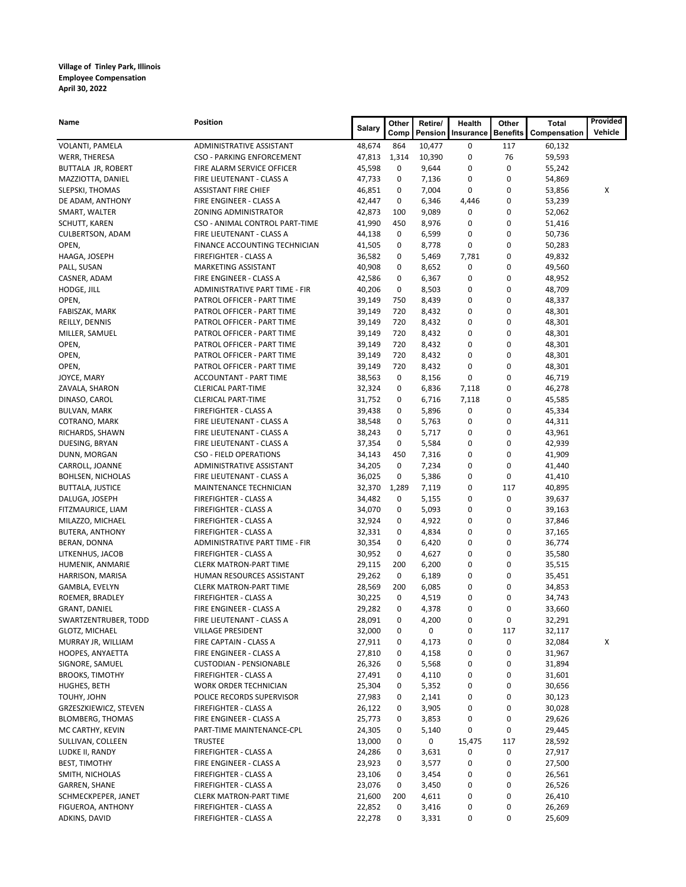| Name                     | Position                         | Salary | Other | Retire/ | Health    | Other           | Total        | Provided |
|--------------------------|----------------------------------|--------|-------|---------|-----------|-----------------|--------------|----------|
|                          |                                  |        | Comp  | Pension | Insurance | <b>Benefits</b> | Compensation | Vehicle  |
| VOLANTI, PAMELA          | ADMINISTRATIVE ASSISTANT         | 48,674 | 864   | 10,477  | 0         | 117             | 60,132       |          |
| WERR, THERESA            | <b>CSO - PARKING ENFORCEMENT</b> | 47,813 | 1,314 | 10,390  | 0         | 76              | 59,593       |          |
| BUTTALA JR, ROBERT       | FIRE ALARM SERVICE OFFICER       | 45,598 | 0     | 9,644   | 0         | 0               | 55,242       |          |
| MAZZIOTTA, DANIEL        | FIRE LIEUTENANT - CLASS A        | 47,733 | 0     | 7,136   | 0         | 0               | 54,869       |          |
| SLEPSKI, THOMAS          | <b>ASSISTANT FIRE CHIEF</b>      | 46,851 | 0     | 7,004   | 0         | 0               | 53,856       | х        |
| DE ADAM, ANTHONY         | FIRE ENGINEER - CLASS A          | 42,447 | 0     | 6,346   | 4,446     | 0               | 53,239       |          |
| SMART, WALTER            | ZONING ADMINISTRATOR             | 42,873 | 100   | 9,089   | 0         | 0               | 52,062       |          |
| SCHUTT, KAREN            | CSO - ANIMAL CONTROL PART-TIME   | 41,990 | 450   | 8,976   | 0         | 0               | 51,416       |          |
| CULBERTSON, ADAM         | FIRE LIEUTENANT - CLASS A        | 44,138 | 0     | 6,599   | 0         | 0               | 50,736       |          |
| OPEN,                    | FINANCE ACCOUNTING TECHNICIAN    | 41,505 | 0     | 8,778   | 0         | 0               | 50,283       |          |
| HAAGA, JOSEPH            | FIREFIGHTER - CLASS A            | 36,582 | 0     | 5,469   | 7,781     | 0               | 49,832       |          |
| PALL, SUSAN              | MARKETING ASSISTANT              | 40,908 | 0     | 8,652   | 0         | 0               | 49,560       |          |
| CASNER, ADAM             | FIRE ENGINEER - CLASS A          | 42,586 | 0     | 6,367   | 0         | 0               | 48,952       |          |
| HODGE, JILL              | ADMINISTRATIVE PART TIME - FIR   | 40,206 | 0     | 8,503   | 0         | 0               | 48,709       |          |
| OPEN,                    | PATROL OFFICER - PART TIME       | 39,149 | 750   | 8,439   | 0         | 0               | 48,337       |          |
| FABISZAK, MARK           | PATROL OFFICER - PART TIME       | 39,149 | 720   | 8,432   | 0         | 0               | 48,301       |          |
| REILLY, DENNIS           | PATROL OFFICER - PART TIME       | 39,149 | 720   | 8,432   | 0         | 0               | 48,301       |          |
| MILLER, SAMUEL           | PATROL OFFICER - PART TIME       | 39,149 | 720   | 8,432   | 0         | 0               | 48,301       |          |
| OPEN,                    | PATROL OFFICER - PART TIME       | 39,149 | 720   | 8,432   | 0         | 0               | 48,301       |          |
| OPEN,                    | PATROL OFFICER - PART TIME       | 39,149 | 720   | 8,432   | 0         | 0               | 48,301       |          |
| OPEN,                    | PATROL OFFICER - PART TIME       | 39,149 | 720   | 8,432   | 0         | 0               | 48,301       |          |
| JOYCE, MARY              | ACCOUNTANT - PART TIME           | 38,563 | 0     | 8,156   | 0         | 0               | 46,719       |          |
| ZAVALA, SHARON           | <b>CLERICAL PART-TIME</b>        | 32,324 | 0     | 6,836   | 7,118     | 0               | 46,278       |          |
| DINASO, CAROL            | <b>CLERICAL PART-TIME</b>        | 31,752 | 0     | 6,716   | 7,118     | 0               | 45,585       |          |
| <b>BULVAN, MARK</b>      | FIREFIGHTER - CLASS A            | 39,438 | 0     | 5,896   | 0         | 0               | 45,334       |          |
| COTRANO, MARK            | FIRE LIEUTENANT - CLASS A        | 38,548 | 0     | 5,763   | 0         | 0               | 44,311       |          |
| RICHARDS, SHAWN          | FIRE LIEUTENANT - CLASS A        | 38,243 | 0     | 5,717   | 0         | 0               | 43,961       |          |
| DUESING, BRYAN           | FIRE LIEUTENANT - CLASS A        | 37,354 | 0     | 5,584   | 0         | 0               | 42,939       |          |
| DUNN, MORGAN             | CSO - FIELD OPERATIONS           | 34,143 | 450   | 7,316   | 0         | 0               | 41,909       |          |
| CARROLL, JOANNE          | ADMINISTRATIVE ASSISTANT         | 34,205 | 0     | 7,234   | 0         | 0               | 41,440       |          |
| <b>BOHLSEN, NICHOLAS</b> | FIRE LIEUTENANT - CLASS A        | 36,025 | 0     | 5,386   | 0         | 0               | 41,410       |          |
| <b>BUTTALA, JUSTICE</b>  | MAINTENANCE TECHNICIAN           | 32,370 | 1,289 | 7,119   | 0         | 117             | 40,895       |          |
| DALUGA, JOSEPH           | FIREFIGHTER - CLASS A            | 34,482 | 0     | 5,155   | 0         | 0               | 39,637       |          |
| FITZMAURICE, LIAM        | FIREFIGHTER - CLASS A            | 34,070 | 0     | 5,093   | 0         | 0               | 39,163       |          |
| MILAZZO, MICHAEL         | FIREFIGHTER - CLASS A            | 32,924 | 0     | 4,922   | 0         | 0               | 37,846       |          |
| <b>BUTERA, ANTHONY</b>   | FIREFIGHTER - CLASS A            | 32,331 | 0     | 4,834   | 0         | 0               | 37,165       |          |
| BERAN, DONNA             | ADMINISTRATIVE PART TIME - FIR   | 30,354 | 0     | 6,420   | 0         | 0               | 36,774       |          |
| LITKENHUS, JACOB         | FIREFIGHTER - CLASS A            | 30,952 | 0     | 4,627   | 0         | 0               | 35,580       |          |
| HUMENIK, ANMARIE         | <b>CLERK MATRON-PART TIME</b>    | 29,115 | 200   | 6,200   | 0         | 0               | 35,515       |          |
| HARRISON, MARISA         | HUMAN RESOURCES ASSISTANT        | 29,262 | 0     | 6,189   | 0         | 0               | 35,451       |          |
| GAMBLA, EVELYN           | <b>CLERK MATRON-PART TIME</b>    | 28,569 | 200   | 6,085   | 0         | 0               | 34,853       |          |
| ROEMER, BRADLEY          | FIREFIGHTER - CLASS A            | 30,225 | 0     | 4,519   | 0         | 0               | 34,743       |          |
| GRANT, DANIEL            | FIRE ENGINEER - CLASS A          | 29,282 | 0     | 4,378   | 0         | 0               | 33,660       |          |
| SWARTZENTRUBER, TODD     | FIRE LIEUTENANT - CLASS A        | 28,091 | 0     | 4,200   | 0         | 0               | 32,291       |          |
| GLOTZ, MICHAEL           | VILLAGE PRESIDENT                | 32,000 | 0     | 0       | 0         | 117             | 32,117       |          |
| MURRAY JR, WILLIAM       | FIRE CAPTAIN - CLASS A           | 27,911 | 0     | 4,173   | 0         | 0               | 32,084       | X        |
| HOOPES, ANYAETTA         | FIRE ENGINEER - CLASS A          | 27,810 | 0     | 4,158   | 0         | 0               | 31,967       |          |
| SIGNORE, SAMUEL          | <b>CUSTODIAN - PENSIONABLE</b>   | 26,326 | 0     | 5,568   | 0         | 0               | 31,894       |          |
| <b>BROOKS, TIMOTHY</b>   | FIREFIGHTER - CLASS A            | 27,491 | 0     | 4,110   | 0         | 0               | 31,601       |          |
| HUGHES, BETH             | WORK ORDER TECHNICIAN            | 25,304 | 0     | 5,352   | 0         | 0               | 30,656       |          |
| TOUHY, JOHN              | POLICE RECORDS SUPERVISOR        | 27,983 | 0     | 2,141   | 0         | 0               | 30,123       |          |
| GRZESZKIEWICZ, STEVEN    | FIREFIGHTER - CLASS A            | 26,122 | 0     | 3,905   | 0         | 0               | 30,028       |          |
| <b>BLOMBERG, THOMAS</b>  | FIRE ENGINEER - CLASS A          | 25,773 | 0     | 3,853   | 0         | 0               | 29,626       |          |
| MC CARTHY, KEVIN         | PART-TIME MAINTENANCE-CPL        | 24,305 | 0     | 5,140   | 0         | 0               | 29,445       |          |
| SULLIVAN, COLLEEN        | <b>TRUSTEE</b>                   | 13,000 | 0     | 0       | 15,475    | 117             | 28,592       |          |
| LUDKE II, RANDY          | FIREFIGHTER - CLASS A            | 24,286 | 0     | 3,631   | 0         | 0               | 27,917       |          |
| <b>BEST, TIMOTHY</b>     | FIRE ENGINEER - CLASS A          | 23,923 | 0     | 3,577   | 0         | 0               | 27,500       |          |
| SMITH, NICHOLAS          | FIREFIGHTER - CLASS A            | 23,106 | 0     | 3,454   | 0         | 0               | 26,561       |          |
| GARREN, SHANE            | FIREFIGHTER - CLASS A            | 23,076 | 0     | 3,450   | 0         | 0               | 26,526       |          |
| SCHMECKPEPER, JANET      | <b>CLERK MATRON-PART TIME</b>    | 21,600 | 200   | 4,611   | 0         | 0               | 26,410       |          |
| FIGUEROA, ANTHONY        | FIREFIGHTER - CLASS A            | 22,852 | 0     | 3,416   | 0         | 0               | 26,269       |          |
| ADKINS, DAVID            | FIREFIGHTER - CLASS A            | 22,278 | 0     | 3,331   | 0         | 0               | 25,609       |          |
|                          |                                  |        |       |         |           |                 |              |          |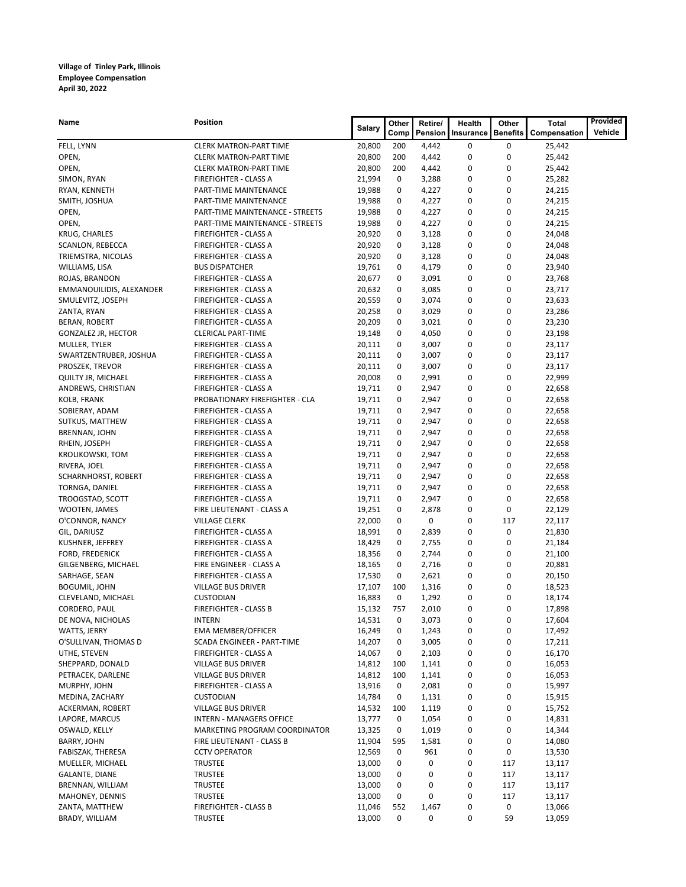| Name                                               | Position                                       | <b>Salary</b>    | Other  | Retire/        | Health    | Other           | <b>Total</b>     | Provided |
|----------------------------------------------------|------------------------------------------------|------------------|--------|----------------|-----------|-----------------|------------------|----------|
|                                                    |                                                |                  | Comp   | Pension        | Insurance | <b>Benefits</b> | Compensation     | Vehicle  |
| FELL, LYNN                                         | <b>CLERK MATRON-PART TIME</b>                  | 20,800           | 200    | 4,442          | 0         | 0               | 25,442           |          |
| OPEN,                                              | <b>CLERK MATRON-PART TIME</b>                  | 20,800           | 200    | 4,442          | 0         | 0               | 25,442           |          |
| OPEN,                                              | <b>CLERK MATRON-PART TIME</b>                  | 20,800           | 200    | 4,442          | 0         | 0               | 25,442           |          |
| SIMON, RYAN                                        | FIREFIGHTER - CLASS A                          | 21,994           | 0      | 3,288          | 0         | 0               | 25,282           |          |
| RYAN, KENNETH                                      | PART-TIME MAINTENANCE                          | 19,988           | 0      | 4,227          | 0         | 0               | 24,215           |          |
| SMITH, JOSHUA                                      | PART-TIME MAINTENANCE                          | 19,988           | 0      | 4,227          | 0         | 0               | 24,215           |          |
| OPEN,                                              | PART-TIME MAINTENANCE - STREETS                | 19,988           | 0      | 4,227          | 0         | 0               | 24,215           |          |
| OPEN,                                              | PART-TIME MAINTENANCE - STREETS                | 19,988           | 0      | 4,227          | 0         | 0               | 24,215           |          |
| KRUG, CHARLES                                      | FIREFIGHTER - CLASS A                          | 20,920           | 0      | 3,128          | 0         | 0               | 24,048           |          |
| SCANLON, REBECCA                                   | FIREFIGHTER - CLASS A                          | 20,920           | 0      | 3,128          | 0         | 0               | 24,048           |          |
| TRIEMSTRA, NICOLAS                                 | FIREFIGHTER - CLASS A                          | 20,920           | 0      | 3,128          | 0         | 0<br>0          | 24,048           |          |
| WILLIAMS, LISA                                     | <b>BUS DISPATCHER</b>                          | 19,761           | 0      | 4,179          | 0         |                 | 23,940           |          |
| ROJAS, BRANDON                                     | FIREFIGHTER - CLASS A                          | 20,677           | 0      | 3,091          | 0         | 0<br>0          | 23,768           |          |
| EMMANOUILIDIS, ALEXANDER                           | FIREFIGHTER - CLASS A                          | 20,632           | 0<br>0 | 3,085<br>3,074 | 0<br>0    | 0               | 23,717           |          |
| SMULEVITZ, JOSEPH                                  | FIREFIGHTER - CLASS A<br>FIREFIGHTER - CLASS A | 20,559<br>20,258 | 0      | 3,029          | 0         | 0               | 23,633           |          |
| ZANTA, RYAN                                        | FIREFIGHTER - CLASS A                          | 20,209           | 0      | 3,021          | 0         | 0               | 23,286           |          |
| <b>BERAN, ROBERT</b><br><b>GONZALEZ JR, HECTOR</b> | <b>CLERICAL PART-TIME</b>                      | 19,148           | 0      | 4,050          | 0         | 0               | 23,230<br>23,198 |          |
| MULLER, TYLER                                      | FIREFIGHTER - CLASS A                          | 20,111           | 0      | 3,007          | 0         | 0               | 23,117           |          |
| SWARTZENTRUBER, JOSHUA                             | FIREFIGHTER - CLASS A                          | 20,111           | 0      | 3,007          | 0         | 0               | 23,117           |          |
| PROSZEK, TREVOR                                    | FIREFIGHTER - CLASS A                          | 20,111           | 0      | 3,007          | 0         | 0               | 23,117           |          |
| QUILTY JR, MICHAEL                                 | FIREFIGHTER - CLASS A                          | 20,008           | 0      | 2,991          | 0         | 0               | 22,999           |          |
| ANDREWS, CHRISTIAN                                 | FIREFIGHTER - CLASS A                          | 19,711           | 0      | 2,947          | 0         | 0               | 22,658           |          |
| KOLB, FRANK                                        | PROBATIONARY FIREFIGHTER - CLA                 | 19,711           | 0      | 2,947          | 0         | 0               | 22,658           |          |
| SOBIERAY, ADAM                                     | FIREFIGHTER - CLASS A                          | 19,711           | 0      | 2,947          | 0         | 0               | 22,658           |          |
| SUTKUS, MATTHEW                                    | FIREFIGHTER - CLASS A                          | 19,711           | 0      | 2,947          | 0         | 0               | 22,658           |          |
| BRENNAN, JOHN                                      | FIREFIGHTER - CLASS A                          | 19,711           | 0      | 2,947          | 0         | 0               | 22,658           |          |
| RHEIN, JOSEPH                                      | FIREFIGHTER - CLASS A                          | 19,711           | 0      | 2,947          | 0         | 0               | 22,658           |          |
| <b>KROLIKOWSKI, TOM</b>                            | FIREFIGHTER - CLASS A                          | 19,711           | 0      | 2,947          | 0         | 0               | 22,658           |          |
| RIVERA, JOEL                                       | FIREFIGHTER - CLASS A                          | 19,711           | 0      | 2,947          | 0         | 0               | 22,658           |          |
| SCHARNHORST, ROBERT                                | FIREFIGHTER - CLASS A                          | 19,711           | 0      | 2,947          | 0         | 0               | 22,658           |          |
| TORNGA, DANIEL                                     | FIREFIGHTER - CLASS A                          | 19,711           | 0      | 2,947          | 0         | 0               | 22,658           |          |
| TROOGSTAD, SCOTT                                   | FIREFIGHTER - CLASS A                          | 19,711           | 0      | 2,947          | 0         | 0               | 22,658           |          |
| WOOTEN, JAMES                                      | FIRE LIEUTENANT - CLASS A                      | 19,251           | 0      | 2,878          | 0         | 0               | 22,129           |          |
| O'CONNOR, NANCY                                    | <b>VILLAGE CLERK</b>                           | 22,000           | 0      | 0              | 0         | 117             | 22,117           |          |
| GIL, DARIUSZ                                       | FIREFIGHTER - CLASS A                          | 18,991           | 0      | 2,839          | 0         | 0               | 21,830           |          |
| KUSHNER, JEFFREY                                   | FIREFIGHTER - CLASS A                          | 18,429           | 0      | 2,755          | 0         | 0               | 21,184           |          |
| <b>FORD, FREDERICK</b>                             | FIREFIGHTER - CLASS A                          | 18,356           | 0      | 2,744          | 0         | 0               | 21,100           |          |
| GILGENBERG, MICHAEL                                | FIRE ENGINEER - CLASS A                        | 18,165           | 0      | 2,716          | 0         | 0               | 20,881           |          |
| SARHAGE, SEAN                                      | FIREFIGHTER - CLASS A                          | 17,530           | 0      | 2,621          | 0         | 0               | 20,150           |          |
| <b>BOGUMIL, JOHN</b>                               | VILLAGE BUS DRIVER                             | 17,107           | 100    | 1,316          | 0         | 0               | 18,523           |          |
| CLEVELAND, MICHAEL                                 | <b>CUSTODIAN</b>                               | 16,883           | 0      | 1,292          | 0         | 0               | 18,174           |          |
| CORDERO, PAUL                                      | <b>FIREFIGHTER - CLASS B</b>                   | 15,132           | 757    | 2,010          | 0         | 0               | 17,898           |          |
| DE NOVA, NICHOLAS                                  | <b>INTERN</b>                                  | 14,531           | 0      | 3,073          | 0         | 0               | 17,604           |          |
| WATTS, JERRY                                       | <b>EMA MEMBER/OFFICER</b>                      | 16,249           | 0      | 1,243          | 0         | 0               | 17,492           |          |
| O'SULLIVAN, THOMAS D                               | SCADA ENGINEER - PART-TIME                     | 14,207           | 0      | 3,005          | 0         | 0               | 17,211           |          |
| UTHE, STEVEN                                       | FIREFIGHTER - CLASS A                          | 14,067           | 0      | 2,103          | 0         | 0               | 16,170           |          |
| SHEPPARD, DONALD                                   | VILLAGE BUS DRIVER                             | 14,812           | 100    | 1,141          | 0         | 0               | 16,053           |          |
| PETRACEK, DARLENE                                  | VILLAGE BUS DRIVER                             | 14,812           | 100    | 1,141          | 0         | 0               | 16,053           |          |
| MURPHY, JOHN                                       | FIREFIGHTER - CLASS A                          | 13,916           | 0      | 2,081          | 0         | 0               | 15,997           |          |
| MEDINA, ZACHARY                                    | <b>CUSTODIAN</b>                               | 14,784           | 0      | 1,131          | 0         | 0               | 15,915           |          |
| ACKERMAN, ROBERT                                   | VILLAGE BUS DRIVER                             | 14,532           | 100    | 1,119          | 0         | 0               | 15,752           |          |
| LAPORE, MARCUS                                     | INTERN - MANAGERS OFFICE                       | 13,777           | 0      | 1,054          | 0         | 0               | 14,831           |          |
| OSWALD, KELLY                                      | MARKETING PROGRAM COORDINATOR                  | 13,325           | 0      | 1,019          | 0         | 0               | 14,344           |          |
| BARRY, JOHN                                        | FIRE LIEUTENANT - CLASS B                      | 11,904           | 595    | 1,581          | 0         | 0               | 14,080           |          |
| FABISZAK, THERESA                                  | <b>CCTV OPERATOR</b>                           | 12,569           | 0      | 961            | 0         | 0               | 13,530           |          |
| MUELLER, MICHAEL                                   | <b>TRUSTEE</b>                                 | 13,000           | 0      | 0              | 0         | 117             | 13,117           |          |
| <b>GALANTE, DIANE</b>                              | <b>TRUSTEE</b>                                 | 13,000           | 0      | 0              | 0         | 117             | 13,117           |          |
| BRENNAN, WILLIAM                                   | <b>TRUSTEE</b>                                 | 13,000           | 0      | 0              | 0         | 117             | 13,117           |          |
| MAHONEY, DENNIS                                    | <b>TRUSTEE</b>                                 | 13,000           | 0      | 0              | 0         | 117             | 13,117           |          |
| ZANTA, MATTHEW                                     | FIREFIGHTER - CLASS B                          | 11,046           | 552    | 1,467          | 0         | 0               | 13,066           |          |
| BRADY, WILLIAM                                     | <b>TRUSTEE</b>                                 | 13,000           | 0      | 0              | 0         | 59              | 13,059           |          |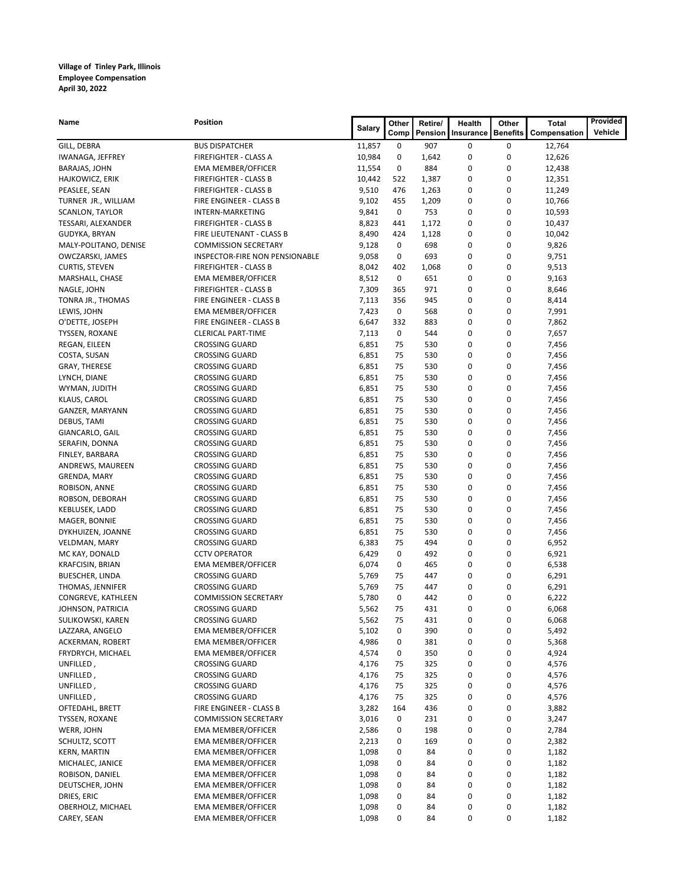| Name                               | Position                                       | <b>Salary</b>  | Other    | Retire/    | Health    | Other           | Total          | Provided |
|------------------------------------|------------------------------------------------|----------------|----------|------------|-----------|-----------------|----------------|----------|
|                                    |                                                |                | Comp     | Pension    | Insurance | <b>Benefits</b> | Compensation   | Vehicle  |
| GILL, DEBRA                        | <b>BUS DISPATCHER</b>                          | 11,857         | 0        | 907        | 0         | 0               | 12,764         |          |
| IWANAGA, JEFFREY                   | FIREFIGHTER - CLASS A                          | 10,984         | 0        | 1,642      | 0         | 0               | 12,626         |          |
| BARAJAS, JOHN                      | <b>EMA MEMBER/OFFICER</b>                      | 11,554         | 0        | 884        | 0         | 0               | 12,438         |          |
| HAJKOWICZ, ERIK                    | FIREFIGHTER - CLASS B                          | 10,442         | 522      | 1,387      | 0         | 0               | 12,351         |          |
| PEASLEE, SEAN                      | <b>FIREFIGHTER - CLASS B</b>                   | 9,510          | 476      | 1,263      | 0         | 0               | 11,249         |          |
| TURNER JR., WILLIAM                | FIRE ENGINEER - CLASS B                        | 9,102          | 455      | 1,209      | 0         | 0               | 10,766         |          |
| SCANLON, TAYLOR                    | INTERN-MARKETING                               | 9,841          | 0        | 753        | 0         | 0               | 10,593         |          |
| TESSARI, ALEXANDER                 | <b>FIREFIGHTER - CLASS B</b>                   | 8,823          | 441      | 1,172      | 0         | 0               | 10,437         |          |
| GUDYKA, BRYAN                      | FIRE LIEUTENANT - CLASS B                      | 8,490          | 424      | 1,128      | 0         | 0               | 10,042         |          |
| MALY-POLITANO, DENISE              | <b>COMMISSION SECRETARY</b>                    | 9,128          | 0        | 698        | 0         | 0               | 9,826          |          |
| OWCZARSKI, JAMES                   | INSPECTOR-FIRE NON PENSIONABLE                 | 9,058          | 0        | 693        | 0         | 0               | 9,751          |          |
| <b>CURTIS, STEVEN</b>              | <b>FIREFIGHTER - CLASS B</b>                   | 8,042          | 402      | 1,068      | 0         | 0               | 9,513          |          |
| MARSHALL, CHASE                    | <b>EMA MEMBER/OFFICER</b>                      | 8,512          | 0        | 651        | 0         | 0               | 9,163          |          |
| NAGLE, JOHN                        | <b>FIREFIGHTER - CLASS B</b>                   | 7,309          | 365      | 971        | 0         | 0               | 8,646          |          |
| TONRA JR., THOMAS                  | FIRE ENGINEER - CLASS B                        | 7,113          | 356      | 945        | 0         | 0               | 8,414          |          |
| LEWIS, JOHN                        | <b>EMA MEMBER/OFFICER</b>                      | 7,423          | 0        | 568        | 0         | 0               | 7,991          |          |
| O'DETTE, JOSEPH                    | FIRE ENGINEER - CLASS B                        | 6,647          | 332      | 883        | 0         | 0               | 7,862          |          |
| TYSSEN, ROXANE                     | <b>CLERICAL PART-TIME</b>                      | 7,113          | 0        | 544        | 0         | 0               | 7,657          |          |
| REGAN, EILEEN                      | <b>CROSSING GUARD</b>                          | 6,851          | 75       | 530        | 0         | 0               | 7,456          |          |
| COSTA, SUSAN                       | <b>CROSSING GUARD</b>                          | 6,851          | 75       | 530        | 0         | 0               | 7,456          |          |
| <b>GRAY, THERESE</b>               | <b>CROSSING GUARD</b>                          | 6,851          | 75       | 530        | 0         | 0               | 7,456          |          |
| LYNCH, DIANE                       | <b>CROSSING GUARD</b>                          | 6,851          | 75       | 530        | 0         | 0               | 7,456          |          |
| WYMAN, JUDITH                      | <b>CROSSING GUARD</b>                          | 6,851          | 75       | 530        | 0         | $\mathbf 0$     | 7,456          |          |
| KLAUS, CAROL                       | <b>CROSSING GUARD</b>                          | 6,851          | 75       | 530        | 0         | 0               | 7,456          |          |
| GANZER, MARYANN                    | <b>CROSSING GUARD</b>                          | 6,851          | 75       | 530        | 0         | 0               | 7,456          |          |
| DEBUS, TAMI                        | <b>CROSSING GUARD</b>                          | 6,851          | 75       | 530        | 0         | 0<br>0          | 7,456          |          |
| GIANCARLO, GAIL                    | <b>CROSSING GUARD</b>                          | 6,851          | 75       | 530        | 0         |                 | 7,456          |          |
| SERAFIN, DONNA                     | <b>CROSSING GUARD</b>                          | 6,851          | 75       | 530        | 0         | 0<br>0          | 7,456          |          |
| FINLEY, BARBARA                    | <b>CROSSING GUARD</b>                          | 6,851          | 75       | 530        | 0<br>0    | 0               | 7,456          |          |
| ANDREWS, MAUREEN                   | <b>CROSSING GUARD</b>                          | 6,851<br>6,851 | 75<br>75 | 530<br>530 | 0         | 0               | 7,456          |          |
| <b>GRENDA, MARY</b>                | <b>CROSSING GUARD</b>                          |                |          |            |           | 0               | 7,456          |          |
| ROBISON, ANNE                      | <b>CROSSING GUARD</b>                          | 6,851<br>6,851 | 75<br>75 | 530<br>530 | 0<br>0    | 0               | 7,456          |          |
| ROBSON, DEBORAH<br>KEBLUSEK, LADD  | <b>CROSSING GUARD</b>                          |                | 75       | 530        | 0         | 0               | 7,456          |          |
| MAGER, BONNIE                      | <b>CROSSING GUARD</b><br><b>CROSSING GUARD</b> | 6,851<br>6,851 | 75       | 530        | 0         | 0               | 7,456<br>7,456 |          |
|                                    | <b>CROSSING GUARD</b>                          | 6,851          | 75       | 530        | 0         | 0               |                |          |
| DYKHUIZEN, JOANNE<br>VELDMAN, MARY | <b>CROSSING GUARD</b>                          | 6,383          | 75       | 494        | 0         | 0               | 7,456<br>6,952 |          |
| MC KAY, DONALD                     | <b>CCTV OPERATOR</b>                           | 6,429          | 0        | 492        | 0         | 0               | 6,921          |          |
| <b>KRAFCISIN, BRIAN</b>            | <b>EMA MEMBER/OFFICER</b>                      | 6,074          | 0        | 465        | 0         | 0               | 6,538          |          |
| <b>BUESCHER, LINDA</b>             | <b>CROSSING GUARD</b>                          | 5,769          | 75       | 447        | 0         | 0               | 6,291          |          |
| THOMAS, JENNIFER                   | <b>CROSSING GUARD</b>                          | 5,769          | 75       | 447        | 0         | 0               | 6,291          |          |
| CONGREVE, KATHLEEN                 | <b>COMMISSION SECRETARY</b>                    | 5,780          | 0        | 442        | 0         | 0               | 6,222          |          |
| JOHNSON, PATRICIA                  | <b>CROSSING GUARD</b>                          | 5,562          | 75       | 431        | 0         | 0               | 6,068          |          |
| SULIKOWSKI, KAREN                  | <b>CROSSING GUARD</b>                          | 5,562          | 75       | 431        | 0         | 0               | 6,068          |          |
| LAZZARA, ANGELO                    | <b>EMA MEMBER/OFFICER</b>                      | 5,102          | 0        | 390        | 0         | 0               | 5,492          |          |
| ACKERMAN, ROBERT                   | <b>EMA MEMBER/OFFICER</b>                      | 4,986          | 0        | 381        | 0         | 0               | 5,368          |          |
| FRYDRYCH, MICHAEL                  | <b>EMA MEMBER/OFFICER</b>                      | 4,574          | 0        | 350        | 0         | 0               | 4,924          |          |
| UNFILLED,                          | <b>CROSSING GUARD</b>                          | 4,176          | 75       | 325        | 0         | 0               | 4,576          |          |
| UNFILLED,                          | <b>CROSSING GUARD</b>                          | 4,176          | 75       | 325        | 0         | 0               | 4,576          |          |
| UNFILLED,                          | <b>CROSSING GUARD</b>                          | 4,176          | 75       | 325        | 0         | 0               | 4,576          |          |
| UNFILLED,                          | <b>CROSSING GUARD</b>                          | 4,176          | 75       | 325        | 0         | 0               | 4,576          |          |
| OFTEDAHL, BRETT                    | FIRE ENGINEER - CLASS B                        | 3,282          | 164      | 436        | 0         | 0               | 3,882          |          |
| TYSSEN, ROXANE                     | <b>COMMISSION SECRETARY</b>                    | 3,016          | 0        | 231        | 0         | 0               | 3,247          |          |
| WERR, JOHN                         | <b>EMA MEMBER/OFFICER</b>                      | 2,586          | 0        | 198        | 0         | 0               | 2,784          |          |
| SCHULTZ, SCOTT                     | <b>EMA MEMBER/OFFICER</b>                      | 2,213          | 0        | 169        | 0         | 0               | 2,382          |          |
| <b>KERN, MARTIN</b>                | <b>EMA MEMBER/OFFICER</b>                      | 1,098          | 0        | 84         | 0         | 0               | 1,182          |          |
| MICHALEC, JANICE                   | <b>EMA MEMBER/OFFICER</b>                      | 1,098          | 0        | 84         | 0         | 0               | 1,182          |          |
| ROBISON, DANIEL                    | <b>EMA MEMBER/OFFICER</b>                      | 1,098          | 0        | 84         | 0         | 0               | 1,182          |          |
| DEUTSCHER, JOHN                    | <b>EMA MEMBER/OFFICER</b>                      | 1,098          | 0        | 84         | 0         | 0               | 1,182          |          |
| DRIES, ERIC                        | <b>EMA MEMBER/OFFICER</b>                      | 1,098          | 0        | 84         | 0         | 0               | 1,182          |          |
| OBERHOLZ, MICHAEL                  | <b>EMA MEMBER/OFFICER</b>                      | 1,098          | 0        | 84         | 0         | 0               | 1,182          |          |
| CAREY, SEAN                        | <b>EMA MEMBER/OFFICER</b>                      | 1,098          | 0        | 84         | 0         | 0               | 1,182          |          |
|                                    |                                                |                |          |            |           |                 |                |          |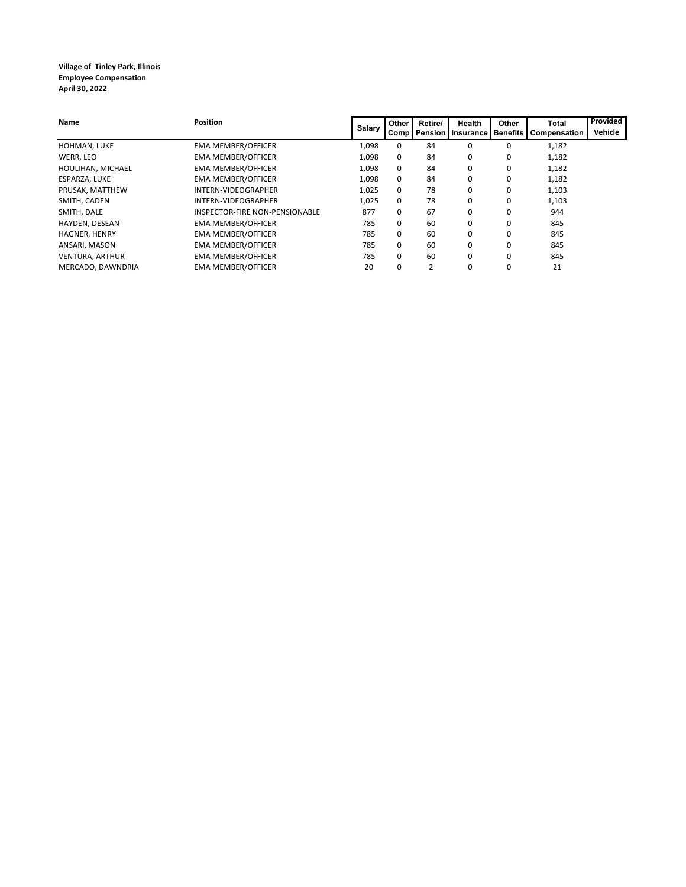| Name                   | <b>Position</b>                | Salary | Other<br><b>Comp</b> | Retire/ | Health<br><b>Pension Insurance Benefits</b> | Other | <b>Total</b><br>Compensation | Provided<br>Vehicle |
|------------------------|--------------------------------|--------|----------------------|---------|---------------------------------------------|-------|------------------------------|---------------------|
| HOHMAN, LUKE           | <b>EMA MEMBER/OFFICER</b>      | 1,098  | 0                    | 84      | 0                                           | 0     | 1,182                        |                     |
| WERR, LEO              | <b>EMA MEMBER/OFFICER</b>      | 1,098  | 0                    | 84      | 0                                           | 0     | 1,182                        |                     |
| HOULIHAN, MICHAEL      | <b>EMA MEMBER/OFFICER</b>      | 1,098  | 0                    | 84      | 0                                           | 0     | 1,182                        |                     |
| ESPARZA, LUKE          | <b>EMA MEMBER/OFFICER</b>      | 1,098  | $\Omega$             | 84      | 0                                           | 0     | 1,182                        |                     |
| PRUSAK, MATTHEW        | INTERN-VIDEOGRAPHER            | 1,025  | 0                    | 78      | 0                                           | 0     | 1,103                        |                     |
| SMITH. CADEN           | INTERN-VIDEOGRAPHER            | 1,025  | $\Omega$             | 78      | 0                                           | 0     | 1,103                        |                     |
| SMITH, DALE            | INSPECTOR-FIRE NON-PENSIONABLE | 877    | 0                    | 67      | 0                                           | 0     | 944                          |                     |
| HAYDEN, DESEAN         | <b>EMA MEMBER/OFFICER</b>      | 785    | 0                    | 60      | 0                                           |       | 845                          |                     |
| HAGNER, HENRY          | <b>EMA MEMBER/OFFICER</b>      | 785    | 0                    | 60      | 0                                           | 0     | 845                          |                     |
| ANSARI, MASON          | <b>EMA MEMBER/OFFICER</b>      | 785    | 0                    | 60      | 0                                           | 0     | 845                          |                     |
| <b>VENTURA, ARTHUR</b> | <b>EMA MEMBER/OFFICER</b>      | 785    | 0                    | 60      | 0                                           | 0     | 845                          |                     |
| MERCADO, DAWNDRIA      | <b>EMA MEMBER/OFFICER</b>      | 20     |                      |         | 0                                           | 0     | 21                           |                     |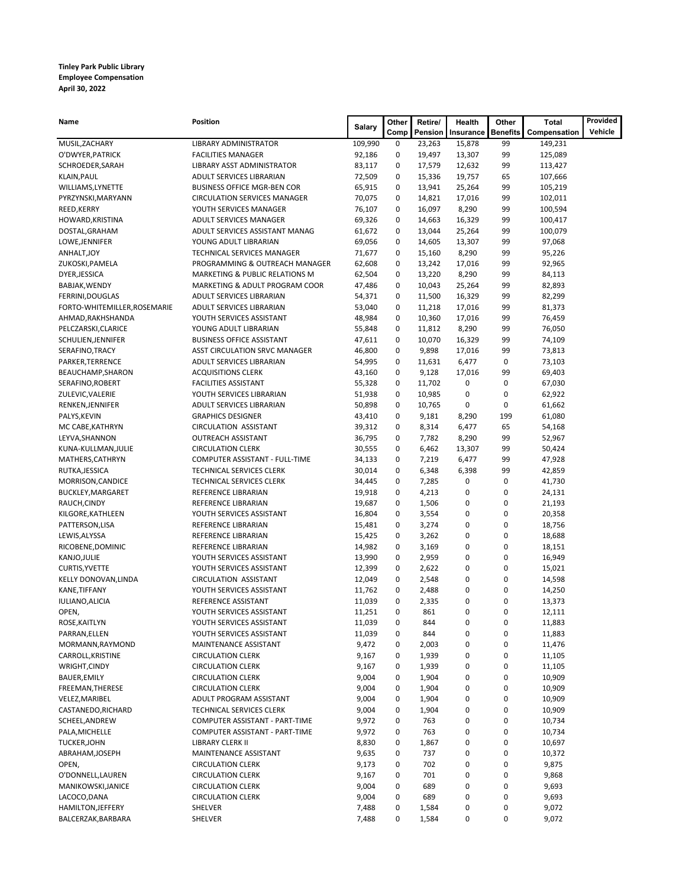### **Tinley Park Public Library Employee Compensation April 30, 2022**

| Name                               | Position                                                  | Salary           | Other       | Retire/        | Health         | Other           | Total            | Provided |
|------------------------------------|-----------------------------------------------------------|------------------|-------------|----------------|----------------|-----------------|------------------|----------|
|                                    |                                                           |                  | Comp        | Pension        | Insurance      | <b>Benefits</b> | Compensation     | Vehicle  |
| MUSIL, ZACHARY                     | LIBRARY ADMINISTRATOR                                     | 109,990          | 0           | 23,263         | 15,878         | 99              | 149,231          |          |
| O'DWYER, PATRICK                   | <b>FACILITIES MANAGER</b>                                 | 92,186           | 0           | 19,497         | 13,307         | 99              | 125,089          |          |
| SCHROEDER, SARAH                   | LIBRARY ASST ADMINISTRATOR                                | 83,117           | 0           | 17,579         | 12,632         | 99              | 113,427          |          |
| KLAIN, PAUL                        | ADULT SERVICES LIBRARIAN                                  | 72,509           | 0           | 15,336         | 19,757         | 65              | 107,666          |          |
| WILLIAMS, LYNETTE                  | <b>BUSINESS OFFICE MGR-BEN COR</b>                        | 65,915           | 0           | 13,941         | 25,264         | 99              | 105,219          |          |
| PYRZYNSKI, MARYANN                 | <b>CIRCULATION SERVICES MANAGER</b>                       | 70,075           | $\mathbf 0$ | 14,821         | 17,016         | 99              | 102,011          |          |
| REED, KERRY                        | YOUTH SERVICES MANAGER                                    | 76,107           | 0           | 16,097         | 8,290          | 99              | 100,594          |          |
| HOWARD, KRISTINA                   | ADULT SERVICES MANAGER                                    | 69,326           | 0           | 14,663         | 16,329         | 99              | 100,417          |          |
| DOSTAL, GRAHAM                     | ADULT SERVICES ASSISTANT MANAG                            | 61,672           | 0           | 13,044         | 25,264         | 99              | 100,079          |          |
| LOWE, JENNIFER                     | YOUNG ADULT LIBRARIAN                                     | 69,056           | 0           | 14,605         | 13,307         | 99              | 97,068           |          |
| ANHALT, JOY                        | TECHNICAL SERVICES MANAGER                                | 71,677           | 0           | 15,160         | 8,290          | 99              | 95,226           |          |
| ZUKOSKI, PAMELA                    | PROGRAMMING & OUTREACH MANAGER                            | 62,608           | 0           | 13,242         | 17,016         | 99              | 92,965           |          |
| DYER, JESSICA                      | MARKETING & PUBLIC RELATIONS M                            | 62,504           | 0           | 13,220         | 8,290          | 99              | 84,113           |          |
| BABJAK, WENDY                      | MARKETING & ADULT PROGRAM COOR                            | 47,486           | 0           | 10,043         | 25,264         | 99              | 82,893           |          |
| FERRINI, DOUGLAS                   | ADULT SERVICES LIBRARIAN                                  | 54,371           | 0           | 11,500         | 16,329         | 99              | 82,299           |          |
| FORTO-WHITEMILLER, ROSEMARIE       | ADULT SERVICES LIBRARIAN                                  | 53,040           | 0           | 11,218         | 17,016         | 99              | 81,373           |          |
| AHMAD, RAKHSHANDA                  | YOUTH SERVICES ASSISTANT                                  | 48,984           | 0           | 10,360         | 17,016         | 99              | 76,459           |          |
| PELCZARSKI, CLARICE                | YOUNG ADULT LIBRARIAN                                     | 55,848           | 0           | 11,812         | 8,290          | 99              | 76,050           |          |
| SCHULIEN, JENNIFER                 | <b>BUSINESS OFFICE ASSISTANT</b>                          | 47,611           | 0           | 10,070         | 16,329         | 99              | 74,109           |          |
| SERAFINO, TRACY                    | ASST CIRCULATION SRVC MANAGER                             | 46,800           | 0           | 9,898          | 17,016         | 99              | 73,813           |          |
| PARKER, TERRENCE                   | ADULT SERVICES LIBRARIAN                                  | 54,995           | 0           | 11,631         | 6,477          | 0               | 73,103           |          |
| BEAUCHAMP, SHARON                  | <b>ACQUISITIONS CLERK</b>                                 | 43,160           | 0           | 9,128          | 17,016         | 99              | 69,403           |          |
| SERAFINO, ROBERT                   | <b>FACILITIES ASSISTANT</b>                               | 55,328           | 0           | 11,702         | 0              | 0               | 67,030           |          |
| ZULEVIC, VALERIE                   | YOUTH SERVICES LIBRARIAN                                  | 51,938           | 0           | 10,985         | 0              | 0               | 62,922           |          |
| RENKEN, JENNIFER                   | ADULT SERVICES LIBRARIAN                                  | 50,898           | 0           | 10,765         | 0              | 0               | 61,662           |          |
| PALYS, KEVIN                       | <b>GRAPHICS DESIGNER</b>                                  | 43,410           | 0<br>0      | 9,181          | 8,290          | 199             | 61,080           |          |
| MC CABE, KATHRYN                   | <b>CIRCULATION ASSISTANT</b><br><b>OUTREACH ASSISTANT</b> | 39,312<br>36,795 | 0           | 8,314<br>7,782 | 6,477<br>8,290 | 65<br>99        | 54,168           |          |
| LEYVA, SHANNON                     | <b>CIRCULATION CLERK</b>                                  | 30,555           | 0           | 6,462          | 13,307         | 99              | 52,967           |          |
| KUNA-KULLMAN, JULIE                | COMPUTER ASSISTANT - FULL-TIME                            | 34,133           | 0           | 7,219          | 6,477          | 99              | 50,424<br>47,928 |          |
| MATHERS, CATHRYN<br>RUTKA, JESSICA | TECHNICAL SERVICES CLERK                                  | 30,014           | $\mathbf 0$ | 6,348          | 6,398          | 99              | 42,859           |          |
| MORRISON, CANDICE                  | TECHNICAL SERVICES CLERK                                  | 34,445           | 0           | 7,285          | 0              | 0               | 41,730           |          |
| BUCKLEY, MARGARET                  | REFERENCE LIBRARIAN                                       | 19,918           | 0           | 4,213          | 0              | 0               | 24,131           |          |
| RAUCH, CINDY                       | REFERENCE LIBRARIAN                                       | 19,687           | $\mathbf 0$ | 1,506          | 0              | 0               | 21,193           |          |
| KILGORE, KATHLEEN                  | YOUTH SERVICES ASSISTANT                                  | 16,804           | $\mathbf 0$ | 3,554          | 0              | 0               | 20,358           |          |
| PATTERSON, LISA                    | REFERENCE LIBRARIAN                                       | 15,481           | 0           | 3,274          | 0              | 0               | 18,756           |          |
| LEWIS, ALYSSA                      | REFERENCE LIBRARIAN                                       | 15,425           | 0           | 3,262          | 0              | 0               | 18,688           |          |
| RICOBENE, DOMINIC                  | REFERENCE LIBRARIAN                                       | 14,982           | 0           | 3,169          | 0              | 0               | 18,151           |          |
| KANJO, JULIE                       | YOUTH SERVICES ASSISTANT                                  | 13,990           | $\mathbf 0$ | 2,959          | 0              | 0               | 16,949           |          |
| CURTIS, YVETTE                     | YOUTH SERVICES ASSISTANT                                  | 12,399           | 0           | 2,622          | 0              | 0               | 15,021           |          |
| KELLY DONOVAN, LINDA               | <b>CIRCULATION ASSISTANT</b>                              | 12,049           | 0           | 2,548          | 0              | 0               | 14,598           |          |
| KANE, TIFFANY                      | YOUTH SERVICES ASSISTANT                                  | 11,762           | 0           | 2,488          | 0              | 0               | 14,250           |          |
| IULIANO, ALICIA                    | REFERENCE ASSISTANT                                       | 11,039           | 0           | 2,335          | 0              | 0               | 13,373           |          |
| OPEN,                              | YOUTH SERVICES ASSISTANT                                  | 11,251           | 0           | 861            | 0              | 0               | 12,111           |          |
| ROSE, KAITLYN                      | YOUTH SERVICES ASSISTANT                                  | 11,039           | 0           | 844            | 0              | 0               | 11,883           |          |
| PARRAN, ELLEN                      | YOUTH SERVICES ASSISTANT                                  | 11,039           | 0           | 844            | 0              | 0               | 11,883           |          |
| MORMANN, RAYMOND                   | MAINTENANCE ASSISTANT                                     | 9,472            | 0           | 2,003          | 0              | 0               | 11,476           |          |
| CARROLL, KRISTINE                  | <b>CIRCULATION CLERK</b>                                  | 9,167            | 0           | 1,939          | 0              | 0               | 11,105           |          |
| WRIGHT, CINDY                      | <b>CIRCULATION CLERK</b>                                  | 9,167            | 0           | 1,939          | 0              | 0               | 11,105           |          |
| BAUER, EMILY                       | <b>CIRCULATION CLERK</b>                                  | 9,004            | 0           | 1,904          | 0              | 0               | 10,909           |          |
| FREEMAN, THERESE                   | <b>CIRCULATION CLERK</b>                                  | 9,004            | 0           | 1,904          | 0              | 0               | 10,909           |          |
| VELEZ, MARIBEL                     | ADULT PROGRAM ASSISTANT                                   | 9,004            | 0           | 1,904          | 0              | 0               | 10,909           |          |
| CASTANEDO, RICHARD                 | TECHNICAL SERVICES CLERK                                  | 9,004            | 0           | 1,904          | 0              | 0               | 10,909           |          |
| SCHEEL, ANDREW                     | COMPUTER ASSISTANT - PART-TIME                            | 9,972            | 0           | 763            | 0              | 0               | 10,734           |          |
| PALA, MICHELLE                     | COMPUTER ASSISTANT - PART-TIME                            | 9,972            | 0           | 763            | 0              | 0               | 10,734           |          |
| <b>TUCKER, JOHN</b>                | LIBRARY CLERK II                                          | 8,830            | 0           | 1,867          | 0              | 0               | 10,697           |          |
| ABRAHAM, JOSEPH                    | MAINTENANCE ASSISTANT                                     | 9,635            | 0           | 737            | 0              | 0               | 10,372           |          |
| OPEN,                              | <b>CIRCULATION CLERK</b>                                  | 9,173            | 0           | 702            | 0              | 0               | 9,875            |          |
| O'DONNELL, LAUREN                  | <b>CIRCULATION CLERK</b>                                  | 9,167            | 0           | 701            | 0              | 0               | 9,868            |          |
| MANIKOWSKI, JANICE                 | <b>CIRCULATION CLERK</b>                                  | 9,004            | 0           | 689            | 0              | 0               | 9,693            |          |
| LACOCO, DANA                       | <b>CIRCULATION CLERK</b>                                  | 9,004            | 0           | 689            | 0              | 0               | 9,693            |          |
| HAMILTON, JEFFERY                  | SHELVER                                                   | 7,488            | 0           | 1,584          | 0              | 0               | 9,072            |          |
| BALCERZAK, BARBARA                 | SHELVER                                                   | 7,488            | 0           | 1,584          | 0              | 0               | 9,072            |          |